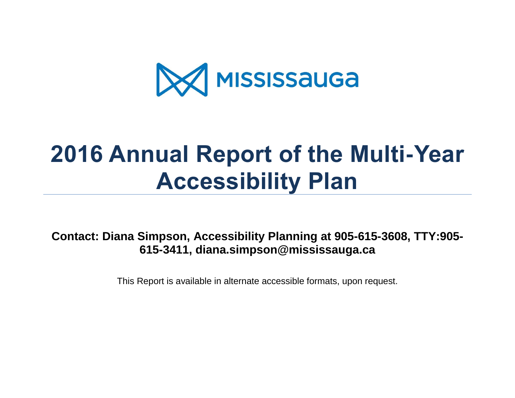

# **2016 Annual Report of the Multi-Year Accessibility Plan**

**Contact: Diana Simpson, Accessibility Planning at 905-615-3608, TTY:905- 615-3411, diana.simpson@mississauga.ca**

This Report is available in alternate accessible formats, upon request.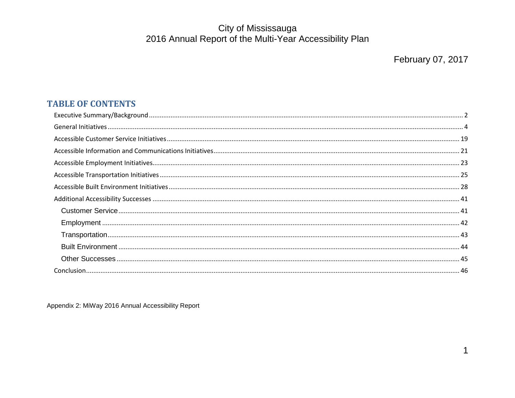#### **TABLE OF CONTENTS**

Appendix 2: MiWay 2016 Annual Accessibility Report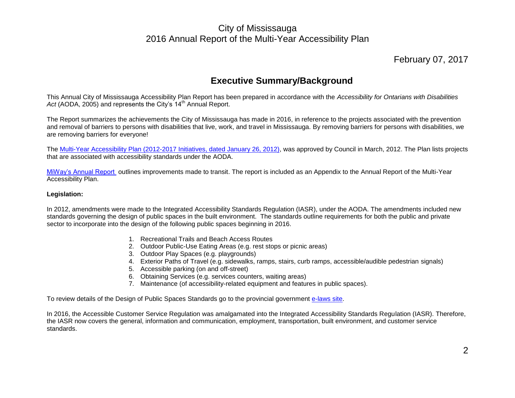#### February 07, 2017

#### **Executive Summary/Background**

<span id="page-2-0"></span>This Annual City of Mississauga Accessibility Plan Report has been prepared in accordance with the *Accessibility for Ontarians with Disabilities*  Act (AODA, 2005) and represents the City's 14<sup>th</sup> Annual Report.

The Report summarizes the achievements the City of Mississauga has made in 2016, in reference to the projects associated with the prevention and removal of barriers to persons with disabilities that live, work, and travel in Mississauga. By removing barriers for persons with disabilities, we are removing barriers for everyone!

The [Multi-Year Accessibility Plan \(2012-2017 Initiatives, dated January 26, 2012\),](http://www.mississauga.ca/portal/residents/accessibility) was approved by Council in March, 2012. The Plan lists projects that are associated with accessibility standards under the AODA.

[MiWay's Annual Report o](http://www.mississauga.ca/portal/miway/accessibleservice)utlines improvements made to transit. The report is included as an Appendix to the Annual Report of the Multi-Year Accessibility Plan.

#### **Legislation:**

In 2012, amendments were made to the Integrated Accessibility Standards Regulation (IASR), under the AODA. The amendments included new standards governing the design of public spaces in the built environment. The standards outline requirements for both the public and private sector to incorporate into the design of the following public spaces beginning in 2016.

- 1. Recreational Trails and Beach Access Routes
- 2. Outdoor Public-Use Eating Areas (e.g. rest stops or picnic areas)
- 3. Outdoor Play Spaces (e.g. playgrounds)
- 4. Exterior Paths of Travel (e.g. sidewalks, ramps, stairs, curb ramps, accessible/audible pedestrian signals)
- 5. Accessible parking (on and off-street)
- 6. Obtaining Services (e.g. services counters, waiting areas)
- 7. Maintenance (of accessibility-related equipment and features in public spaces).

To review details of the Design of Public Spaces Standards go to the provincial government [e-laws site.](http://www.e-laws.gov.on.ca/html/source/regs/english/2012/elaws_src_regs_r12413_e.htm)

In 2016, the Accessible Customer Service Regulation was amalgamated into the Integrated Accessibility Standards Regulation (IASR). Therefore, the IASR now covers the general, information and communication, employment, transportation, built environment, and customer service standards.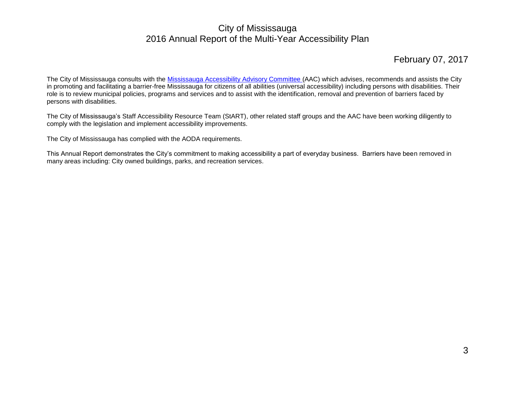#### February 07, 2017

The City of Mississauga consults with the [Mississauga Accessibility Advisory Committee \(](http://www.mississauga.ca/portal/residents/advisorycommittee)AAC) which advises, recommends and assists the City in promoting and facilitating a barrier-free Mississauga for citizens of all abilities (universal accessibility) including persons with disabilities. Their role is to review municipal policies, programs and services and to assist with the identification, removal and prevention of barriers faced by persons with disabilities.

The City of Mississauga's Staff Accessibility Resource Team (StART), other related staff groups and the AAC have been working diligently to comply with the legislation and implement accessibility improvements.

The City of Mississauga has complied with the AODA requirements.

This Annual Report demonstrates the City's commitment to making accessibility a part of everyday business. Barriers have been removed in many areas including: City owned buildings, parks, and recreation services.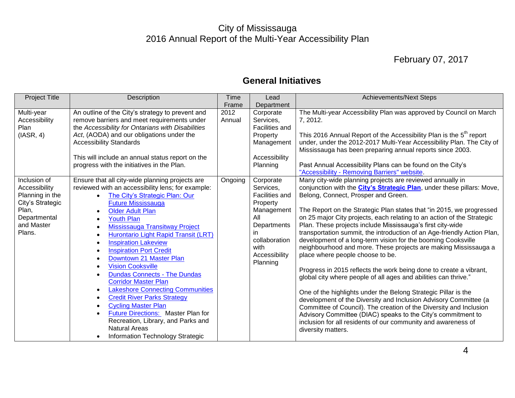## February 07, 2017

## **General Initiatives**

<span id="page-4-0"></span>

| <b>Project Title</b>                                                                                                  | Description                                                                                                                                                                                                                                                                                                                                                                                                                                                                                                                                                                                                                                                                                                                                                            | Time           | Lead                                                                                                                                                  | <b>Achievements/Next Steps</b>                                                                                                                                                                                                                                                                                                                                                                                                                                                                                                                                                                                                                                                                                                                                                                                                                                                                                                                                                                                                                                                                                                                                   |
|-----------------------------------------------------------------------------------------------------------------------|------------------------------------------------------------------------------------------------------------------------------------------------------------------------------------------------------------------------------------------------------------------------------------------------------------------------------------------------------------------------------------------------------------------------------------------------------------------------------------------------------------------------------------------------------------------------------------------------------------------------------------------------------------------------------------------------------------------------------------------------------------------------|----------------|-------------------------------------------------------------------------------------------------------------------------------------------------------|------------------------------------------------------------------------------------------------------------------------------------------------------------------------------------------------------------------------------------------------------------------------------------------------------------------------------------------------------------------------------------------------------------------------------------------------------------------------------------------------------------------------------------------------------------------------------------------------------------------------------------------------------------------------------------------------------------------------------------------------------------------------------------------------------------------------------------------------------------------------------------------------------------------------------------------------------------------------------------------------------------------------------------------------------------------------------------------------------------------------------------------------------------------|
|                                                                                                                       |                                                                                                                                                                                                                                                                                                                                                                                                                                                                                                                                                                                                                                                                                                                                                                        | Frame          | Department                                                                                                                                            |                                                                                                                                                                                                                                                                                                                                                                                                                                                                                                                                                                                                                                                                                                                                                                                                                                                                                                                                                                                                                                                                                                                                                                  |
| Multi-year<br>Accessibility<br>Plan<br>(IASR, 4)                                                                      | An outline of the City's strategy to prevent and<br>remove barriers and meet requirements under<br>the Accessibility for Ontarians with Disabilities<br>Act, (AODA) and our obligations under the<br><b>Accessibility Standards</b><br>This will include an annual status report on the<br>progress with the initiatives in the Plan.                                                                                                                                                                                                                                                                                                                                                                                                                                  | 2012<br>Annual | Corporate<br>Services,<br>Facilities and<br>Property<br>Management<br>Accessibility<br>Planning                                                       | The Multi-year Accessibility Plan was approved by Council on March<br>7, 2012.<br>This 2016 Annual Report of the Accessibility Plan is the 5 <sup>th</sup> report<br>under, under the 2012-2017 Multi-Year Accessibility Plan. The City of<br>Mississauga has been preparing annual reports since 2003.<br>Past Annual Accessibility Plans can be found on the City's<br>"Accessibility - Removing Barriers" website.                                                                                                                                                                                                                                                                                                                                                                                                                                                                                                                                                                                                                                                                                                                                            |
| Inclusion of<br>Accessibility<br>Planning in the<br>City's Strategic<br>Plan,<br>Departmental<br>and Master<br>Plans. | Ensure that all city-wide planning projects are<br>reviewed with an accessibility lens; for example:<br>The City's Strategic Plan: Our<br><b>Future Mississauga</b><br><b>Older Adult Plan</b><br><b>Youth Plan</b><br>Mississauga Transitway Project<br>Hurontario Light Rapid Transit (LRT)<br><b>Inspiration Lakeview</b><br><b>Inspiration Port Credit</b><br>Downtown 21 Master Plan<br><b>Vision Cooksville</b><br><b>Dundas Connects - The Dundas</b><br><b>Corridor Master Plan</b><br><b>Lakeshore Connecting Communities</b><br>$\bullet$<br><b>Credit River Parks Strategy</b><br><b>Cycling Master Plan</b><br><b>Future Directions:</b> Master Plan for<br>Recreation, Library, and Parks and<br><b>Natural Areas</b><br>Information Technology Strategic | Ongoing        | Corporate<br>Services,<br>Facilities and<br>Property<br>Management<br>All<br>Departments<br>in.<br>collaboration<br>with<br>Accessibility<br>Planning | Many city-wide planning projects are reviewed annually in<br>conjunction with the <i>City's Strategic Plan</i> , under these pillars: Move,<br>Belong, Connect, Prosper and Green.<br>The Report on the Strategic Plan states that "in 2015, we progressed<br>on 25 major City projects, each relating to an action of the Strategic<br>Plan. These projects include Mississauga's first city-wide<br>transportation summit, the introduction of an Age-friendly Action Plan,<br>development of a long-term vision for the booming Cooksville<br>neighbourhood and more. These projects are making Mississauga a<br>place where people choose to be.<br>Progress in 2015 reflects the work being done to create a vibrant,<br>global city where people of all ages and abilities can thrive."<br>One of the highlights under the Belong Strategic Pillar is the<br>development of the Diversity and Inclusion Advisory Committee (a<br>Committee of Council). The creation of the Diversity and Inclusion<br>Advisory Committee (DIAC) speaks to the City's commitment to<br>inclusion for all residents of our community and awareness of<br>diversity matters. |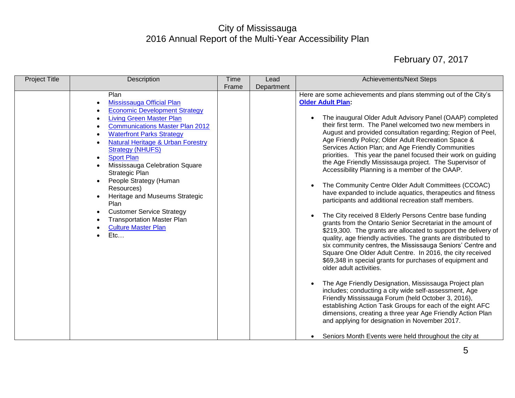| <b>Project Title</b> | Description                                                                                                                                                                                                                                                                                                                                                                                                                                                                                                                                                                                                                                                                                   | <b>Time</b><br>Frame | Lead<br>Department | <b>Achievements/Next Steps</b>                                                                                                                                                                                                                                                                                                                                                                                                                                                                                                                                                                                                                                                                                                                                                                                                                                                                                                                                                                                                                                                                                                                                                                                                                                                                                                                                                                                                                                                                                                                                                                                                                                                           |
|----------------------|-----------------------------------------------------------------------------------------------------------------------------------------------------------------------------------------------------------------------------------------------------------------------------------------------------------------------------------------------------------------------------------------------------------------------------------------------------------------------------------------------------------------------------------------------------------------------------------------------------------------------------------------------------------------------------------------------|----------------------|--------------------|------------------------------------------------------------------------------------------------------------------------------------------------------------------------------------------------------------------------------------------------------------------------------------------------------------------------------------------------------------------------------------------------------------------------------------------------------------------------------------------------------------------------------------------------------------------------------------------------------------------------------------------------------------------------------------------------------------------------------------------------------------------------------------------------------------------------------------------------------------------------------------------------------------------------------------------------------------------------------------------------------------------------------------------------------------------------------------------------------------------------------------------------------------------------------------------------------------------------------------------------------------------------------------------------------------------------------------------------------------------------------------------------------------------------------------------------------------------------------------------------------------------------------------------------------------------------------------------------------------------------------------------------------------------------------------------|
|                      | Plan<br>Mississauga Official Plan<br>$\bullet$<br><b>Economic Development Strategy</b><br>$\bullet$<br><b>Living Green Master Plan</b><br>$\bullet$<br><b>Communications Master Plan 2012</b><br>$\bullet$<br><b>Waterfront Parks Strategy</b><br>$\bullet$<br><b>Natural Heritage &amp; Urban Forestry</b><br>$\bullet$<br><b>Strategy (NHUFS)</b><br><b>Sport Plan</b><br>$\bullet$<br>Mississauga Celebration Square<br>$\bullet$<br>Strategic Plan<br>People Strategy (Human<br>$\bullet$<br>Resources)<br>Heritage and Museums Strategic<br>Plan<br><b>Customer Service Strategy</b><br>$\bullet$<br><b>Transportation Master Plan</b><br><b>Culture Master Plan</b><br>$\bullet$<br>Etc |                      |                    | Here are some achievements and plans stemming out of the City's<br><b>Older Adult Plan:</b><br>The inaugural Older Adult Advisory Panel (OAAP) completed<br>their first term. The Panel welcomed two new members in<br>August and provided consultation regarding; Region of Peel,<br>Age Friendly Policy; Older Adult Recreation Space &<br>Services Action Plan; and Age Friendly Communities<br>priorities. This year the panel focused their work on guiding<br>the Age Friendly Mississauga project. The Supervisor of<br>Accessibility Planning is a member of the OAAP.<br>The Community Centre Older Adult Committees (CCOAC)<br>$\bullet$<br>have expanded to include aquatics, therapeutics and fitness<br>participants and additional recreation staff members.<br>The City received 8 Elderly Persons Centre base funding<br>grants from the Ontario Senior Secretariat in the amount of<br>\$219,300. The grants are allocated to support the delivery of<br>quality, age friendly activities. The grants are distributed to<br>six community centres, the Mississauga Seniors' Centre and<br>Square One Older Adult Centre. In 2016, the city received<br>\$69,348 in special grants for purchases of equipment and<br>older adult activities.<br>The Age Friendly Designation, Mississauga Project plan<br>includes; conducting a city wide self-assessment, Age<br>Friendly Mississauga Forum (held October 3, 2016),<br>establishing Action Task Groups for each of the eight AFC<br>dimensions, creating a three year Age Friendly Action Plan<br>and applying for designation in November 2017.<br>Seniors Month Events were held throughout the city at<br>$\bullet$ |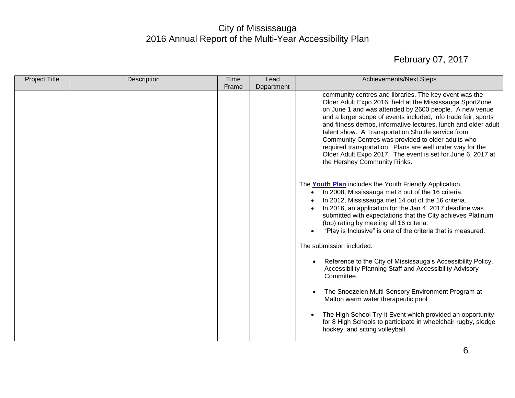| <b>Project Title</b> | Description | <b>Time</b> | Lead       | <b>Achievements/Next Steps</b>                                                                                                                                                                                                                                                                                                                                                                                                                                                                                                                                                           |
|----------------------|-------------|-------------|------------|------------------------------------------------------------------------------------------------------------------------------------------------------------------------------------------------------------------------------------------------------------------------------------------------------------------------------------------------------------------------------------------------------------------------------------------------------------------------------------------------------------------------------------------------------------------------------------------|
|                      |             | Frame       | Department |                                                                                                                                                                                                                                                                                                                                                                                                                                                                                                                                                                                          |
|                      |             |             |            | community centres and libraries. The key event was the<br>Older Adult Expo 2016, held at the Mississauga SportZone<br>on June 1 and was attended by 2600 people. A new venue<br>and a larger scope of events included, info trade fair, sports<br>and fitness demos, informative lectures, lunch and older adult<br>talent show. A Transportation Shuttle service from<br>Community Centres was provided to older adults who<br>required transportation. Plans are well under way for the<br>Older Adult Expo 2017. The event is set for June 6, 2017 at<br>the Hershey Community Rinks. |
|                      |             |             |            | The <b>Youth Plan</b> includes the Youth Friendly Application.<br>In 2008, Mississauga met 8 out of the 16 criteria.<br>In 2012, Mississauga met 14 out of the 16 criteria.<br>$\bullet$<br>In 2016, an application for the Jan 4, 2017 deadline was<br>submitted with expectations that the City achieves Platinum<br>(top) rating by meeting all 16 criteria.<br>"Play is Inclusive" is one of the criteria that is measured.                                                                                                                                                          |
|                      |             |             |            | The submission included:                                                                                                                                                                                                                                                                                                                                                                                                                                                                                                                                                                 |
|                      |             |             |            | Reference to the City of Mississauga's Accessibility Policy,<br>Accessibility Planning Staff and Accessibility Advisory<br>Committee.                                                                                                                                                                                                                                                                                                                                                                                                                                                    |
|                      |             |             |            | The Snoezelen Multi-Sensory Environment Program at<br>Malton warm water therapeutic pool                                                                                                                                                                                                                                                                                                                                                                                                                                                                                                 |
|                      |             |             |            | The High School Try-it Event which provided an opportunity<br>for 8 High Schools to participate in wheelchair rugby, sledge<br>hockey, and sitting volleyball.                                                                                                                                                                                                                                                                                                                                                                                                                           |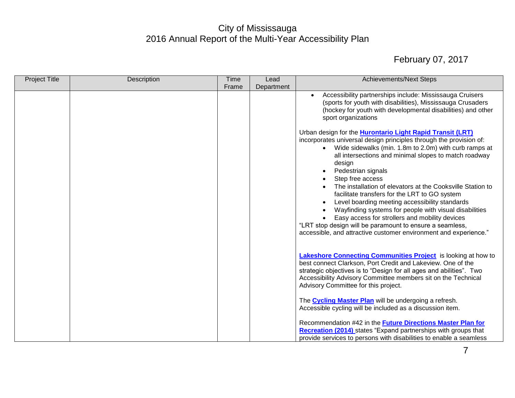| <b>Project Title</b> | Description | <b>Time</b> | Lead       | <b>Achievements/Next Steps</b>                                                                                                                                                                                                                                                                                                                                                                                                                                                                                                                                                                                                                                                                                                                      |
|----------------------|-------------|-------------|------------|-----------------------------------------------------------------------------------------------------------------------------------------------------------------------------------------------------------------------------------------------------------------------------------------------------------------------------------------------------------------------------------------------------------------------------------------------------------------------------------------------------------------------------------------------------------------------------------------------------------------------------------------------------------------------------------------------------------------------------------------------------|
|                      |             | Frame       | Department |                                                                                                                                                                                                                                                                                                                                                                                                                                                                                                                                                                                                                                                                                                                                                     |
|                      |             |             |            | Accessibility partnerships include: Mississauga Cruisers<br>(sports for youth with disabilities), Mississauga Crusaders<br>(hockey for youth with developmental disabilities) and other<br>sport organizations                                                                                                                                                                                                                                                                                                                                                                                                                                                                                                                                      |
|                      |             |             |            | Urban design for the <b>Hurontario Light Rapid Transit (LRT)</b><br>incorporates universal design principles through the provision of:<br>Wide sidewalks (min. 1.8m to 2.0m) with curb ramps at<br>$\bullet$<br>all intersections and minimal slopes to match roadway<br>design<br>Pedestrian signals<br>Step free access<br>The installation of elevators at the Cooksville Station to<br>facilitate transfers for the LRT to GO system<br>Level boarding meeting accessibility standards<br>$\bullet$<br>Wayfinding systems for people with visual disabilities<br>Easy access for strollers and mobility devices<br>"LRT stop design will be paramount to ensure a seamless,<br>accessible, and attractive customer environment and experience." |
|                      |             |             |            | Lakeshore Connecting Communities Project is looking at how to<br>best connect Clarkson, Port Credit and Lakeview. One of the<br>strategic objectives is to "Design for all ages and abilities". Two<br>Accessibility Advisory Committee members sit on the Technical<br>Advisory Committee for this project.<br>The <b>Cycling Master Plan</b> will be undergoing a refresh.                                                                                                                                                                                                                                                                                                                                                                        |
|                      |             |             |            | Accessible cycling will be included as a discussion item.<br>Recommendation #42 in the <b>Future Directions Master Plan for</b><br><b>Recreation (2014)</b> states "Expand partnerships with groups that<br>provide services to persons with disabilities to enable a seamless                                                                                                                                                                                                                                                                                                                                                                                                                                                                      |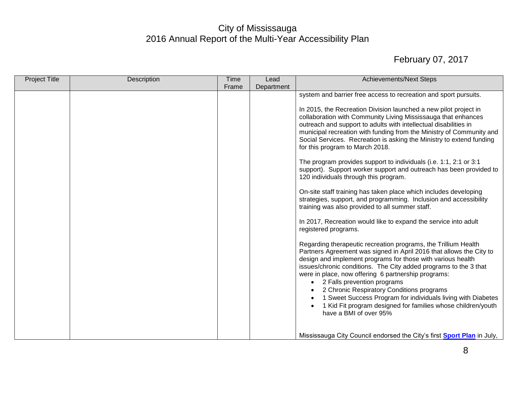| <b>Project Title</b> | Description | Time  | Lead       | <b>Achievements/Next Steps</b>                                                                                                                                                                                                                                                                                                                                                                                                                                                                                                                                                     |
|----------------------|-------------|-------|------------|------------------------------------------------------------------------------------------------------------------------------------------------------------------------------------------------------------------------------------------------------------------------------------------------------------------------------------------------------------------------------------------------------------------------------------------------------------------------------------------------------------------------------------------------------------------------------------|
|                      |             | Frame | Department |                                                                                                                                                                                                                                                                                                                                                                                                                                                                                                                                                                                    |
|                      |             |       |            | system and barrier free access to recreation and sport pursuits.                                                                                                                                                                                                                                                                                                                                                                                                                                                                                                                   |
|                      |             |       |            | In 2015, the Recreation Division launched a new pilot project in<br>collaboration with Community Living Mississauga that enhances<br>outreach and support to adults with intellectual disabilities in<br>municipal recreation with funding from the Ministry of Community and<br>Social Services. Recreation is asking the Ministry to extend funding<br>for this program to March 2018.                                                                                                                                                                                           |
|                      |             |       |            | The program provides support to individuals (i.e. 1:1, 2:1 or 3:1<br>support). Support worker support and outreach has been provided to<br>120 individuals through this program.                                                                                                                                                                                                                                                                                                                                                                                                   |
|                      |             |       |            | On-site staff training has taken place which includes developing<br>strategies, support, and programming. Inclusion and accessibility<br>training was also provided to all summer staff.                                                                                                                                                                                                                                                                                                                                                                                           |
|                      |             |       |            | In 2017, Recreation would like to expand the service into adult<br>registered programs.                                                                                                                                                                                                                                                                                                                                                                                                                                                                                            |
|                      |             |       |            | Regarding therapeutic recreation programs, the Trillium Health<br>Partners Agreement was signed in April 2016 that allows the City to<br>design and implement programs for those with various health<br>issues/chronic conditions. The City added programs to the 3 that<br>were in place, now offering 6 partnership programs:<br>2 Falls prevention programs<br>$\bullet$<br>2 Chronic Respiratory Conditions programs<br>1 Sweet Success Program for individuals living with Diabetes<br>1 Kid Fit program designed for families whose children/youth<br>have a BMI of over 95% |
|                      |             |       |            | Mississauga City Council endorsed the City's first <b>Sport Plan</b> in July,                                                                                                                                                                                                                                                                                                                                                                                                                                                                                                      |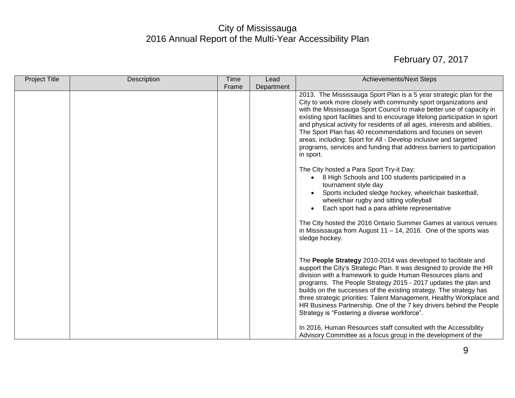| Project Title | Description | Time  | Lead       | <b>Achievements/Next Steps</b>                                                                                                            |
|---------------|-------------|-------|------------|-------------------------------------------------------------------------------------------------------------------------------------------|
|               |             | Frame | Department |                                                                                                                                           |
|               |             |       |            | 2013. The Mississauga Sport Plan is a 5 year strategic plan for the                                                                       |
|               |             |       |            | City to work more closely with community sport organizations and                                                                          |
|               |             |       |            | with the Mississauga Sport Council to make better use of capacity in                                                                      |
|               |             |       |            | existing sport facilities and to encourage lifelong participation in sport                                                                |
|               |             |       |            | and physical activity for residents of all ages, interests and abilities.                                                                 |
|               |             |       |            | The Sport Plan has 40 recommendations and focuses on seven                                                                                |
|               |             |       |            | areas, including: Sport for All - Develop inclusive and targeted<br>programs, services and funding that address barriers to participation |
|               |             |       |            | in sport.                                                                                                                                 |
|               |             |       |            |                                                                                                                                           |
|               |             |       |            | The City hosted a Para Sport Try-it Day:                                                                                                  |
|               |             |       |            | 8 High Schools and 100 students participated in a<br>$\bullet$                                                                            |
|               |             |       |            | tournament style day                                                                                                                      |
|               |             |       |            | Sports included sledge hockey, wheelchair basketball,                                                                                     |
|               |             |       |            | wheelchair rugby and sitting volleyball                                                                                                   |
|               |             |       |            | Each sport had a para athlete representative<br>$\bullet$                                                                                 |
|               |             |       |            |                                                                                                                                           |
|               |             |       |            | The City hosted the 2016 Ontario Summer Games at various venues                                                                           |
|               |             |       |            | in Mississauga from August $11 - 14$ , 2016. One of the sports was                                                                        |
|               |             |       |            | sledge hockey.                                                                                                                            |
|               |             |       |            |                                                                                                                                           |
|               |             |       |            | The People Strategy 2010-2014 was developed to facilitate and                                                                             |
|               |             |       |            | support the City's Strategic Plan. It was designed to provide the HR                                                                      |
|               |             |       |            | division with a framework to guide Human Resources plans and                                                                              |
|               |             |       |            | programs. The People Strategy 2015 - 2017 updates the plan and                                                                            |
|               |             |       |            | builds on the successes of the existing strategy. The strategy has                                                                        |
|               |             |       |            | three strategic priorities: Talent Management, Healthy Workplace and                                                                      |
|               |             |       |            | HR Business Partnership. One of the 7 key drivers behind the People                                                                       |
|               |             |       |            | Strategy is "Fostering a diverse workforce".                                                                                              |
|               |             |       |            | In 2016, Human Resources staff consulted with the Accessibility                                                                           |
|               |             |       |            | Advisory Committee as a focus group in the development of the                                                                             |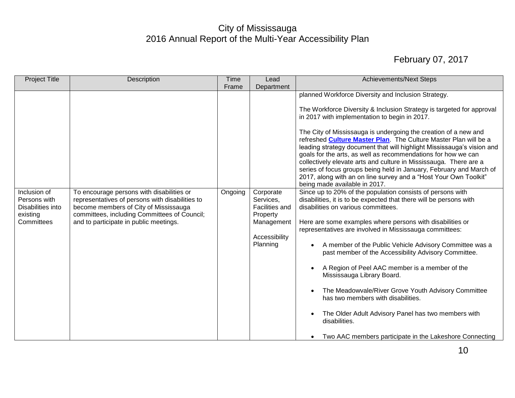| <b>Project Title</b>                                                        | Description                                                                                                                                                                                                                     | <b>Time</b> | Lead                                                                                                   | <b>Achievements/Next Steps</b>                                                                                                                                                                                                                                                                                                                                                                                                                                                                                                                                                                                                                                                                                                     |
|-----------------------------------------------------------------------------|---------------------------------------------------------------------------------------------------------------------------------------------------------------------------------------------------------------------------------|-------------|--------------------------------------------------------------------------------------------------------|------------------------------------------------------------------------------------------------------------------------------------------------------------------------------------------------------------------------------------------------------------------------------------------------------------------------------------------------------------------------------------------------------------------------------------------------------------------------------------------------------------------------------------------------------------------------------------------------------------------------------------------------------------------------------------------------------------------------------------|
|                                                                             |                                                                                                                                                                                                                                 | Frame       | Department                                                                                             |                                                                                                                                                                                                                                                                                                                                                                                                                                                                                                                                                                                                                                                                                                                                    |
|                                                                             |                                                                                                                                                                                                                                 |             |                                                                                                        | planned Workforce Diversity and Inclusion Strategy.<br>The Workforce Diversity & Inclusion Strategy is targeted for approval<br>in 2017 with implementation to begin in 2017.<br>The City of Mississauga is undergoing the creation of a new and<br>refreshed <b>Culture Master Plan</b> . The Culture Master Plan will be a<br>leading strategy document that will highlight Mississauga's vision and<br>goals for the arts, as well as recommendations for how we can<br>collectively elevate arts and culture in Mississauga. There are a<br>series of focus groups being held in January, February and March of<br>2017, along with an on line survey and a "Host Your Own Toolkit"<br>being made available in 2017.           |
| Inclusion of<br>Persons with<br>Disabilities into<br>existing<br>Committees | To encourage persons with disabilities or<br>representatives of persons with disabilities to<br>become members of City of Mississauga<br>committees, including Committees of Council;<br>and to participate in public meetings. | Ongoing     | Corporate<br>Services,<br><b>Facilities and</b><br>Property<br>Management<br>Accessibility<br>Planning | Since up to 20% of the population consists of persons with<br>disabilities, it is to be expected that there will be persons with<br>disabilities on various committees.<br>Here are some examples where persons with disabilities or<br>representatives are involved in Mississauga committees:<br>A member of the Public Vehicle Advisory Committee was a<br>past member of the Accessibility Advisory Committee.<br>A Region of Peel AAC member is a member of the<br>Mississauga Library Board.<br>The Meadowvale/River Grove Youth Advisory Committee<br>has two members with disabilities.<br>The Older Adult Advisory Panel has two members with<br>disabilities.<br>Two AAC members participate in the Lakeshore Connecting |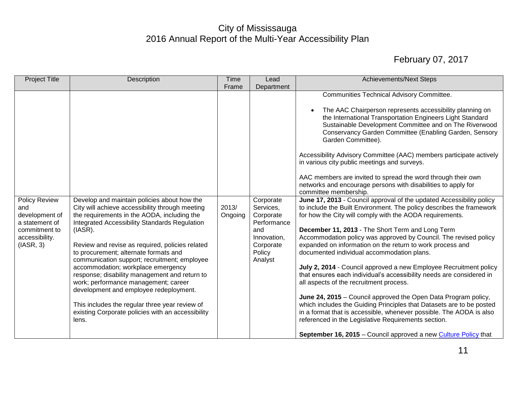| <b>Project Title</b>                                                                                     | Description                                                                                                                                                                                                                                                                                                                                                                                                                                                                                                                                                                                                                                           | <b>Time</b><br>Frame | Lead<br>Department                                                                                         | <b>Achievements/Next Steps</b>                                                                                                                                                                                                                                                                                                                                                                                                                                                                                                                                                                                                                                                                                                                                                                                                                                                                                                                                                                                                                                                                                                                                                                                                                                                                                                                                                                                                                                                                                                                                                         |
|----------------------------------------------------------------------------------------------------------|-------------------------------------------------------------------------------------------------------------------------------------------------------------------------------------------------------------------------------------------------------------------------------------------------------------------------------------------------------------------------------------------------------------------------------------------------------------------------------------------------------------------------------------------------------------------------------------------------------------------------------------------------------|----------------------|------------------------------------------------------------------------------------------------------------|----------------------------------------------------------------------------------------------------------------------------------------------------------------------------------------------------------------------------------------------------------------------------------------------------------------------------------------------------------------------------------------------------------------------------------------------------------------------------------------------------------------------------------------------------------------------------------------------------------------------------------------------------------------------------------------------------------------------------------------------------------------------------------------------------------------------------------------------------------------------------------------------------------------------------------------------------------------------------------------------------------------------------------------------------------------------------------------------------------------------------------------------------------------------------------------------------------------------------------------------------------------------------------------------------------------------------------------------------------------------------------------------------------------------------------------------------------------------------------------------------------------------------------------------------------------------------------------|
| Policy Review<br>and<br>development of<br>a statement of<br>commitment to<br>accessibility.<br>(IASR, 3) | Develop and maintain policies about how the<br>City will achieve accessibility through meeting<br>the requirements in the AODA, including the<br><b>Integrated Accessibility Standards Regulation</b><br>(IASR).<br>Review and revise as required, policies related<br>to procurement; alternate formats and<br>communication support; recruitment; employee<br>accommodation; workplace emergency<br>response; disability management and return to<br>work; performance management; career<br>development and employee redeployment.<br>This includes the regular three year review of<br>existing Corporate policies with an accessibility<br>lens. | 2013/<br>Ongoing     | Corporate<br>Services,<br>Corporate<br>Performance<br>and<br>Innovation,<br>Corporate<br>Policy<br>Analyst | <b>Communities Technical Advisory Committee.</b><br>The AAC Chairperson represents accessibility planning on<br>the International Transportation Engineers Light Standard<br>Sustainable Development Committee and on The Riverwood<br>Conservancy Garden Committee (Enabling Garden, Sensory<br>Garden Committee).<br>Accessibility Advisory Committee (AAC) members participate actively<br>in various city public meetings and surveys.<br>AAC members are invited to spread the word through their own<br>networks and encourage persons with disabilities to apply for<br>committee membership.<br>June 17, 2013 - Council approval of the updated Accessibility policy<br>to include the Built Environment. The policy describes the framework<br>for how the City will comply with the AODA requirements.<br>December 11, 2013 - The Short Term and Long Term<br>Accommodation policy was approved by Council. The revised policy<br>expanded on information on the return to work process and<br>documented individual accommodation plans.<br>July 2, 2014 - Council approved a new Employee Recruitment policy<br>that ensures each individual's accessibility needs are considered in<br>all aspects of the recruitment process.<br>June 24, 2015 – Council approved the Open Data Program policy,<br>which includes the Guiding Principles that Datasets are to be posted<br>in a format that is accessible, whenever possible. The AODA is also<br>referenced in the Legislative Requirements section.<br>September 16, 2015 - Council approved a new Culture Policy that |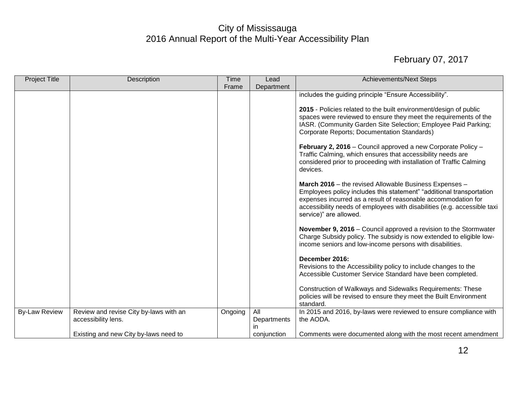| <b>Project Title</b> | Description                                                   | Time    | Lead                     | <b>Achievements/Next Steps</b>                                                                                                                                                                                                                                                                                   |
|----------------------|---------------------------------------------------------------|---------|--------------------------|------------------------------------------------------------------------------------------------------------------------------------------------------------------------------------------------------------------------------------------------------------------------------------------------------------------|
|                      |                                                               | Frame   | Department               |                                                                                                                                                                                                                                                                                                                  |
|                      |                                                               |         |                          | includes the guiding principle "Ensure Accessibility".<br>2015 - Policies related to the built environment/design of public<br>spaces were reviewed to ensure they meet the requirements of the<br>IASR. (Community Garden Site Selection; Employee Paid Parking;<br>Corporate Reports; Documentation Standards) |
|                      |                                                               |         |                          | February 2, 2016 - Council approved a new Corporate Policy -<br>Traffic Calming, which ensures that accessibility needs are<br>considered prior to proceeding with installation of Traffic Calming<br>devices.                                                                                                   |
|                      |                                                               |         |                          | March 2016 - the revised Allowable Business Expenses -<br>Employees policy includes this statement" "additional transportation<br>expenses incurred as a result of reasonable accommodation for<br>accessibility needs of employees with disabilities (e.g. accessible taxi<br>service)" are allowed.            |
|                      |                                                               |         |                          | November 9, 2016 – Council approved a revision to the Stormwater<br>Charge Subsidy policy. The subsidy is now extended to eligible low-<br>income seniors and low-income persons with disabilities.                                                                                                              |
|                      |                                                               |         |                          | December 2016:<br>Revisions to the Accessibility policy to include changes to the<br>Accessible Customer Service Standard have been completed.                                                                                                                                                                   |
|                      |                                                               |         |                          | Construction of Walkways and Sidewalks Requirements: These<br>policies will be revised to ensure they meet the Built Environment<br>standard.                                                                                                                                                                    |
| <b>By-Law Review</b> | Review and revise City by-laws with an<br>accessibility lens. | Ongoing | All<br>Departments<br>in | In 2015 and 2016, by-laws were reviewed to ensure compliance with<br>the AODA.                                                                                                                                                                                                                                   |
|                      | Existing and new City by-laws need to                         |         | conjunction              | Comments were documented along with the most recent amendment                                                                                                                                                                                                                                                    |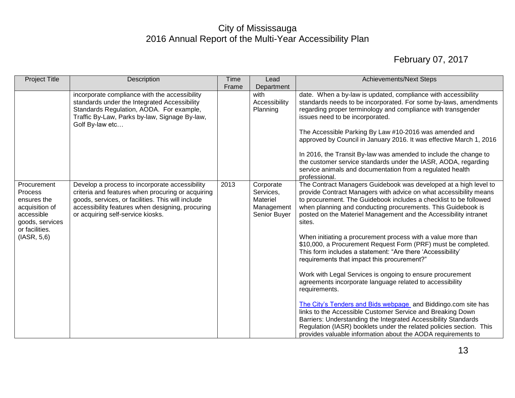| <b>Project Title</b>                                                                                                      | Description                                                                                                                                                                                                                                       | <b>Time</b><br>Frame | Lead<br>Department                                               | <b>Achievements/Next Steps</b>                                                                                                                                                                                                                                                                                                                                                                                                                                                                                                                                                                                                                                                                                                                                                                                                                                                                                                                                                                                                                                                           |
|---------------------------------------------------------------------------------------------------------------------------|---------------------------------------------------------------------------------------------------------------------------------------------------------------------------------------------------------------------------------------------------|----------------------|------------------------------------------------------------------|------------------------------------------------------------------------------------------------------------------------------------------------------------------------------------------------------------------------------------------------------------------------------------------------------------------------------------------------------------------------------------------------------------------------------------------------------------------------------------------------------------------------------------------------------------------------------------------------------------------------------------------------------------------------------------------------------------------------------------------------------------------------------------------------------------------------------------------------------------------------------------------------------------------------------------------------------------------------------------------------------------------------------------------------------------------------------------------|
|                                                                                                                           | incorporate compliance with the accessibility<br>standards under the Integrated Accessibility<br>Standards Regulation, AODA. For example,<br>Traffic By-Law, Parks by-law, Signage By-law,<br>Golf By-law etc                                     |                      | with<br>Accessibility<br>Planning                                | date. When a by-law is updated, compliance with accessibility<br>standards needs to be incorporated. For some by-laws, amendments<br>regarding proper terminology and compliance with transgender<br>issues need to be incorporated.<br>The Accessible Parking By Law #10-2016 was amended and<br>approved by Council in January 2016. It was effective March 1, 2016<br>In 2016, the Transit By-law was amended to include the change to<br>the customer service standards under the IASR, AODA, regarding<br>service animals and documentation from a regulated health<br>professional.                                                                                                                                                                                                                                                                                                                                                                                                                                                                                                |
| Procurement<br>Process<br>ensures the<br>acquisition of<br>accessible<br>goods, services<br>or facilities.<br>(IASR, 5,6) | Develop a process to incorporate accessibility<br>criteria and features when procuring or acquiring<br>goods, services, or facilities. This will include<br>accessibility features when designing, procuring<br>or acquiring self-service kiosks. | 2013                 | Corporate<br>Services,<br>Materiel<br>Management<br>Senior Buyer | The Contract Managers Guidebook was developed at a high level to<br>provide Contract Managers with advice on what accessibility means<br>to procurement. The Guidebook includes a checklist to be followed<br>when planning and conducting procurements. This Guidebook is<br>posted on the Materiel Management and the Accessibility intranet<br>sites.<br>When initiating a procurement process with a value more than<br>\$10,000, a Procurement Request Form (PRF) must be completed.<br>This form includes a statement: "Are there 'Accessibility'<br>requirements that impact this procurement?"<br>Work with Legal Services is ongoing to ensure procurement<br>agreements incorporate language related to accessibility<br>requirements.<br>The City's Tenders and Bids webpage and Biddingo.com site has<br>links to the Accessible Customer Service and Breaking Down<br>Barriers: Understanding the Integrated Accessibility Standards<br>Regulation (IASR) booklets under the related policies section. This<br>provides valuable information about the AODA requirements to |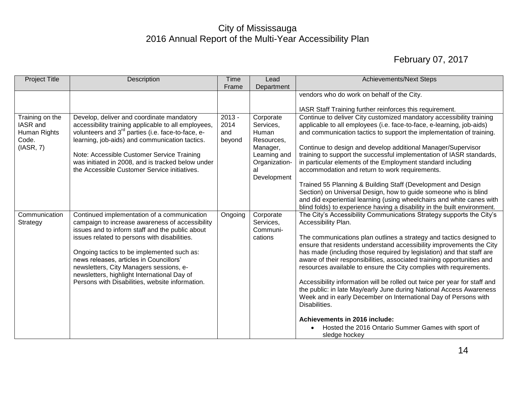| <b>Project Title</b>                                              | Description                                                                                                                                                                                                                                                                                                                                                                              | <b>Time</b>                       | Lead                                                                                                            | <b>Achievements/Next Steps</b>                                                                                                                                                                                                                                                                                                                                                                                                                                                                                                                                                                                                                                                                                                              |
|-------------------------------------------------------------------|------------------------------------------------------------------------------------------------------------------------------------------------------------------------------------------------------------------------------------------------------------------------------------------------------------------------------------------------------------------------------------------|-----------------------------------|-----------------------------------------------------------------------------------------------------------------|---------------------------------------------------------------------------------------------------------------------------------------------------------------------------------------------------------------------------------------------------------------------------------------------------------------------------------------------------------------------------------------------------------------------------------------------------------------------------------------------------------------------------------------------------------------------------------------------------------------------------------------------------------------------------------------------------------------------------------------------|
|                                                                   |                                                                                                                                                                                                                                                                                                                                                                                          | Frame                             | Department                                                                                                      |                                                                                                                                                                                                                                                                                                                                                                                                                                                                                                                                                                                                                                                                                                                                             |
|                                                                   |                                                                                                                                                                                                                                                                                                                                                                                          |                                   |                                                                                                                 | vendors who do work on behalf of the City.                                                                                                                                                                                                                                                                                                                                                                                                                                                                                                                                                                                                                                                                                                  |
|                                                                   |                                                                                                                                                                                                                                                                                                                                                                                          |                                   |                                                                                                                 |                                                                                                                                                                                                                                                                                                                                                                                                                                                                                                                                                                                                                                                                                                                                             |
|                                                                   |                                                                                                                                                                                                                                                                                                                                                                                          |                                   |                                                                                                                 | IASR Staff Training further reinforces this requirement.                                                                                                                                                                                                                                                                                                                                                                                                                                                                                                                                                                                                                                                                                    |
| Training on the<br>IASR and<br>Human Rights<br>Code.<br>(IASR, 7) | Develop, deliver and coordinate mandatory<br>accessibility training applicable to all employees,<br>volunteers and 3 <sup>rd</sup> parties (i.e. face-to-face, e-<br>learning, job-aids) and communication tactics.<br>Note: Accessible Customer Service Training<br>was initiated in 2008, and is tracked below under<br>the Accessible Customer Service initiatives.                   | $2013 -$<br>2014<br>and<br>beyond | Corporate<br>Services,<br>Human<br>Resources,<br>Manager,<br>Learning and<br>Organization-<br>al<br>Development | Continue to deliver City customized mandatory accessibility training<br>applicable to all employees (i.e. face-to-face, e-learning, job-aids)<br>and communication tactics to support the implementation of training.<br>Continue to design and develop additional Manager/Supervisor<br>training to support the successful implementation of IASR standards,<br>in particular elements of the Employment standard including<br>accommodation and return to work requirements.<br>Trained 55 Planning & Building Staff (Development and Design<br>Section) on Universal Design, how to guide someone who is blind<br>and did experiential learning (using wheelchairs and white canes with                                                  |
| Communication                                                     | Continued implementation of a communication                                                                                                                                                                                                                                                                                                                                              | Ongoing                           | Corporate                                                                                                       | blind folds) to experience having a disability in the built environment.<br>The City's Accessibility Communications Strategy supports the City's                                                                                                                                                                                                                                                                                                                                                                                                                                                                                                                                                                                            |
| Strategy                                                          | campaign to increase awareness of accessibility<br>issues and to inform staff and the public about<br>issues related to persons with disabilities.<br>Ongoing tactics to be implemented such as:<br>news releases, articles in Councillors'<br>newsletters, City Managers sessions, e-<br>newsletters, highlight International Day of<br>Persons with Disabilities, website information. |                                   | Services,<br>Communi-<br>cations                                                                                | Accessibility Plan.<br>The communications plan outlines a strategy and tactics designed to<br>ensure that residents understand accessibility improvements the City<br>has made (including those required by legislation) and that staff are<br>aware of their responsibilities, associated training opportunities and<br>resources available to ensure the City complies with requirements.<br>Accessibility information will be rolled out twice per year for staff and<br>the public: in late May/early June during National Access Awareness<br>Week and in early December on International Day of Persons with<br>Disabilities.<br>Achievements in 2016 include:<br>Hosted the 2016 Ontario Summer Games with sport of<br>sledge hockey |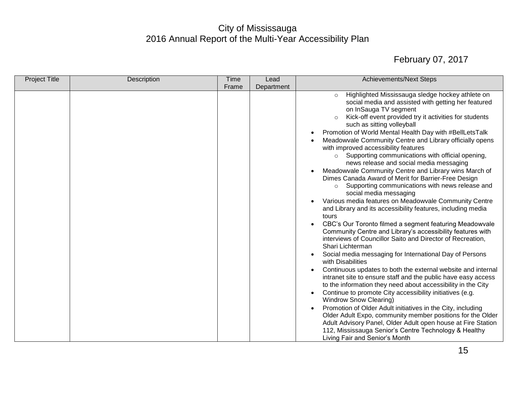| <b>Project Title</b><br><b>Time</b><br>Description<br><b>Achievements/Next Steps</b><br>Lead                                                                                                                                                                                                                                                                                                                                                                                                                                                                                                                                                                                                                                                                                                                                                                                                                                                                                                                                                                                                                                                                                                                                                                                                                                                                                                                                                                                                                                                                                                                                                                                                                                                                        |  |
|---------------------------------------------------------------------------------------------------------------------------------------------------------------------------------------------------------------------------------------------------------------------------------------------------------------------------------------------------------------------------------------------------------------------------------------------------------------------------------------------------------------------------------------------------------------------------------------------------------------------------------------------------------------------------------------------------------------------------------------------------------------------------------------------------------------------------------------------------------------------------------------------------------------------------------------------------------------------------------------------------------------------------------------------------------------------------------------------------------------------------------------------------------------------------------------------------------------------------------------------------------------------------------------------------------------------------------------------------------------------------------------------------------------------------------------------------------------------------------------------------------------------------------------------------------------------------------------------------------------------------------------------------------------------------------------------------------------------------------------------------------------------|--|
| Department<br>Frame                                                                                                                                                                                                                                                                                                                                                                                                                                                                                                                                                                                                                                                                                                                                                                                                                                                                                                                                                                                                                                                                                                                                                                                                                                                                                                                                                                                                                                                                                                                                                                                                                                                                                                                                                 |  |
| Highlighted Mississauga sledge hockey athlete on<br>$\circ$<br>social media and assisted with getting her featured<br>on InSauga TV segment<br>Kick-off event provided try it activities for students<br>$\circ$<br>such as sitting volleyball<br>Promotion of World Mental Health Day with #BellLetsTalk<br>$\bullet$<br>Meadowvale Community Centre and Library officially opens<br>with improved accessibility features<br>Supporting communications with official opening,<br>$\circ$<br>news release and social media messaging<br>Meadowvale Community Centre and Library wins March of<br>Dimes Canada Award of Merit for Barrier-Free Design<br>Supporting communications with news release and<br>$\circ$<br>social media messaging<br>Various media features on Meadowvale Community Centre<br>and Library and its accessibility features, including media<br>tours<br>CBC's Our Toronto filmed a segment featuring Meadowvale<br>$\bullet$<br>Community Centre and Library's accessibility features with<br>interviews of Councillor Saito and Director of Recreation,<br>Shari Lichterman<br>Social media messaging for International Day of Persons<br>$\bullet$<br>with Disabilities<br>Continuous updates to both the external website and internal<br>intranet site to ensure staff and the public have easy access<br>to the information they need about accessibility in the City<br>Continue to promote City accessibility initiatives (e.g.<br><b>Windrow Snow Clearing)</b><br>Promotion of Older Adult initiatives in the City, including<br>$\bullet$<br>Older Adult Expo, community member positions for the Older<br>Adult Advisory Panel, Older Adult open house at Fire Station<br>112, Mississauga Senior's Centre Technology & Healthy |  |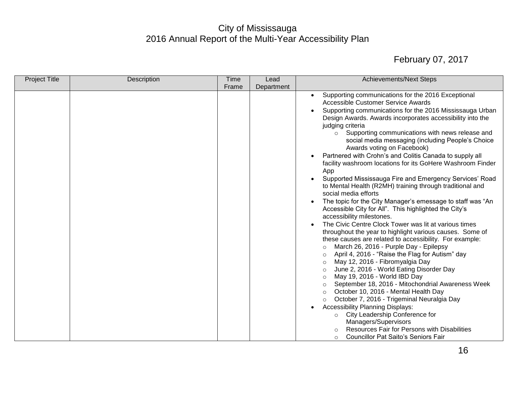| <b>Project Title</b> | Description | <b>Time</b> | Lead       | <b>Achievements/Next Steps</b>                                                                                                                                                                                                                                                                                                                                                                                                                                                                                                                                                                                                                                                                                                                                                                                                                                                                                                                                                                                                                                                                                                                                                                                                                                                                                                                                                                                                                                                                                                                                                                                                                                                 |
|----------------------|-------------|-------------|------------|--------------------------------------------------------------------------------------------------------------------------------------------------------------------------------------------------------------------------------------------------------------------------------------------------------------------------------------------------------------------------------------------------------------------------------------------------------------------------------------------------------------------------------------------------------------------------------------------------------------------------------------------------------------------------------------------------------------------------------------------------------------------------------------------------------------------------------------------------------------------------------------------------------------------------------------------------------------------------------------------------------------------------------------------------------------------------------------------------------------------------------------------------------------------------------------------------------------------------------------------------------------------------------------------------------------------------------------------------------------------------------------------------------------------------------------------------------------------------------------------------------------------------------------------------------------------------------------------------------------------------------------------------------------------------------|
|                      |             | Frame       | Department |                                                                                                                                                                                                                                                                                                                                                                                                                                                                                                                                                                                                                                                                                                                                                                                                                                                                                                                                                                                                                                                                                                                                                                                                                                                                                                                                                                                                                                                                                                                                                                                                                                                                                |
|                      |             |             |            | Supporting communications for the 2016 Exceptional<br>$\bullet$<br>Accessible Customer Service Awards<br>Supporting communications for the 2016 Mississauga Urban<br>Design Awards. Awards incorporates accessibility into the<br>judging criteria<br>Supporting communications with news release and<br>$\circ$<br>social media messaging (including People's Choice<br>Awards voting on Facebook)<br>Partnered with Crohn's and Colitis Canada to supply all<br>$\bullet$<br>facility washroom locations for its GoHere Washroom Finder<br>App<br>Supported Mississauga Fire and Emergency Services' Road<br>$\bullet$<br>to Mental Health (R2MH) training through traditional and<br>social media efforts<br>The topic for the City Manager's emessage to staff was "An<br>$\bullet$<br>Accessible City for All". This highlighted the City's<br>accessibility milestones.<br>The Civic Centre Clock Tower was lit at various times<br>throughout the year to highlight various causes. Some of<br>these causes are related to accessibility. For example:<br>March 26, 2016 - Purple Day - Epilepsy<br>$\circ$<br>April 4, 2016 - "Raise the Flag for Autism" day<br>May 12, 2016 - Fibromyalgia Day<br>$\circ$<br>June 2, 2016 - World Eating Disorder Day<br>$\circ$<br>May 19, 2016 - World IBD Day<br>$\circ$<br>September 18, 2016 - Mitochondrial Awareness Week<br>$\circ$<br>October 10, 2016 - Mental Health Day<br>$\circ$<br>October 7, 2016 - Trigeminal Neuralgia Day<br>$\circ$<br><b>Accessibility Planning Displays:</b><br>$\bullet$<br>City Leadership Conference for<br>$\circ$<br>Managers/Supervisors<br>Resources Fair for Persons with Disabilities |
|                      |             |             |            | <b>Councillor Pat Saito's Seniors Fair</b><br>$\circ$                                                                                                                                                                                                                                                                                                                                                                                                                                                                                                                                                                                                                                                                                                                                                                                                                                                                                                                                                                                                                                                                                                                                                                                                                                                                                                                                                                                                                                                                                                                                                                                                                          |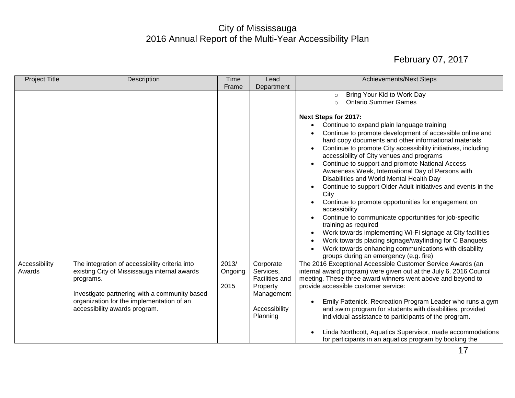| <b>Project Title</b>    | Description                                                                                                                                                                                                                                | Time                     | Lead                                                                                            | <b>Achievements/Next Steps</b>                                                                                                                                                                                                                                                                                                                                                                                                                                                                                                                                                                                                                                                                                                                                                                                                                                                                                                                                                                  |
|-------------------------|--------------------------------------------------------------------------------------------------------------------------------------------------------------------------------------------------------------------------------------------|--------------------------|-------------------------------------------------------------------------------------------------|-------------------------------------------------------------------------------------------------------------------------------------------------------------------------------------------------------------------------------------------------------------------------------------------------------------------------------------------------------------------------------------------------------------------------------------------------------------------------------------------------------------------------------------------------------------------------------------------------------------------------------------------------------------------------------------------------------------------------------------------------------------------------------------------------------------------------------------------------------------------------------------------------------------------------------------------------------------------------------------------------|
|                         |                                                                                                                                                                                                                                            | Frame                    | Department                                                                                      |                                                                                                                                                                                                                                                                                                                                                                                                                                                                                                                                                                                                                                                                                                                                                                                                                                                                                                                                                                                                 |
|                         |                                                                                                                                                                                                                                            |                          |                                                                                                 | Bring Your Kid to Work Day<br>$\circ$<br><b>Ontario Summer Games</b><br>$\circ$                                                                                                                                                                                                                                                                                                                                                                                                                                                                                                                                                                                                                                                                                                                                                                                                                                                                                                                 |
|                         |                                                                                                                                                                                                                                            |                          |                                                                                                 | <b>Next Steps for 2017:</b><br>Continue to expand plain language training<br>$\bullet$<br>Continue to promote development of accessible online and<br>hard copy documents and other informational materials<br>Continue to promote City accessibility initiatives, including<br>accessibility of City venues and programs<br>Continue to support and promote National Access<br>Awareness Week, International Day of Persons with<br>Disabilities and World Mental Health Day<br>Continue to support Older Adult initiatives and events in the<br>$\bullet$<br>City<br>Continue to promote opportunities for engagement on<br>accessibility<br>Continue to communicate opportunities for job-specific<br>$\bullet$<br>training as required<br>Work towards implementing Wi-Fi signage at City facilities<br>$\bullet$<br>Work towards placing signage/wayfinding for C Banquets<br>$\bullet$<br>Work towards enhancing communications with disability<br>groups during an emergency (e.g. fire) |
| Accessibility<br>Awards | The integration of accessibility criteria into<br>existing City of Mississauga internal awards<br>programs.<br>Investigate partnering with a community based<br>organization for the implementation of an<br>accessibility awards program. | 2013/<br>Ongoing<br>2015 | Corporate<br>Services,<br>Facilities and<br>Property<br>Management<br>Accessibility<br>Planning | The 2016 Exceptional Accessible Customer Service Awards (an<br>internal award program) were given out at the July 6, 2016 Council<br>meeting. These three award winners went above and beyond to<br>provide accessible customer service:<br>Emily Pattenick, Recreation Program Leader who runs a gym<br>$\bullet$<br>and swim program for students with disabilities, provided<br>individual assistance to participants of the program.<br>Linda Northcott, Aquatics Supervisor, made accommodations<br>for participants in an aquatics program by booking the                                                                                                                                                                                                                                                                                                                                                                                                                                 |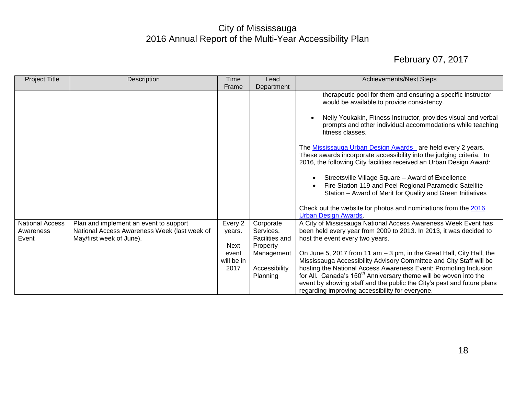| <b>Project Title</b>                         | Description                                                                                                        | Time                        | Lead                                                 | <b>Achievements/Next Steps</b>                                                                                                                                                                                                                                                                                                                                            |
|----------------------------------------------|--------------------------------------------------------------------------------------------------------------------|-----------------------------|------------------------------------------------------|---------------------------------------------------------------------------------------------------------------------------------------------------------------------------------------------------------------------------------------------------------------------------------------------------------------------------------------------------------------------------|
|                                              |                                                                                                                    | Frame                       | Department                                           |                                                                                                                                                                                                                                                                                                                                                                           |
|                                              |                                                                                                                    |                             |                                                      | therapeutic pool for them and ensuring a specific instructor<br>would be available to provide consistency.                                                                                                                                                                                                                                                                |
|                                              |                                                                                                                    |                             |                                                      | Nelly Youkakin, Fitness Instructor, provides visual and verbal<br>prompts and other individual accommodations while teaching<br>fitness classes.                                                                                                                                                                                                                          |
|                                              |                                                                                                                    |                             |                                                      | The Mississauga Urban Design Awards are held every 2 years.<br>These awards incorporate accessibility into the judging criteria. In<br>2016, the following City facilities received an Urban Design Award:                                                                                                                                                                |
|                                              |                                                                                                                    |                             |                                                      | Streetsville Village Square - Award of Excellence<br>Fire Station 119 and Peel Regional Paramedic Satellite<br>Station - Award of Merit for Quality and Green Initiatives                                                                                                                                                                                                 |
|                                              |                                                                                                                    |                             |                                                      | Check out the website for photos and nominations from the 2016<br><b>Urban Design Awards</b>                                                                                                                                                                                                                                                                              |
| <b>National Access</b><br>Awareness<br>Event | Plan and implement an event to support<br>National Access Awareness Week (last week of<br>May/first week of June). | Every 2<br>years.<br>Next   | Corporate<br>Services,<br>Facilities and<br>Property | A City of Mississauga National Access Awareness Week Event has<br>been held every year from 2009 to 2013. In 2013, it was decided to<br>host the event every two years.                                                                                                                                                                                                   |
|                                              |                                                                                                                    | event<br>will be in<br>2017 | Management<br>Accessibility<br>Planning              | On June 5, 2017 from 11 am - 3 pm, in the Great Hall, City Hall, the<br>Mississauga Accessibility Advisory Committee and City Staff will be<br>hosting the National Access Awareness Event: Promoting Inclusion<br>for All. Canada's 150 <sup>th</sup> Anniversary theme will be woven into the<br>event by showing staff and the public the City's past and future plans |
|                                              |                                                                                                                    |                             |                                                      | regarding improving accessibility for everyone.                                                                                                                                                                                                                                                                                                                           |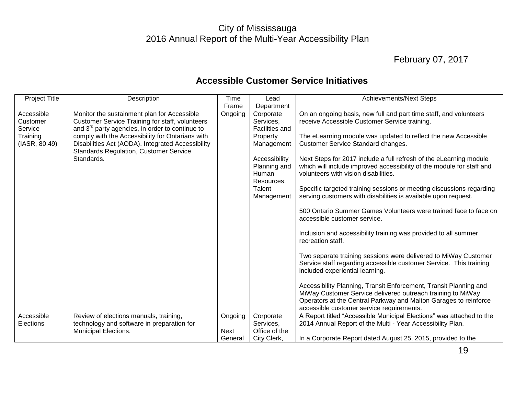## February 07, 2017

<span id="page-19-0"></span>

| <b>Project Title</b>                                           | Description                                                                                                                                                                                                                                                                                                                                  | Time            | Lead                                                                                                                                               | <b>Achievements/Next Steps</b>                                                                                                                                                                                                                                                                                                                                                                                                                                                                                                                                                                                                  |
|----------------------------------------------------------------|----------------------------------------------------------------------------------------------------------------------------------------------------------------------------------------------------------------------------------------------------------------------------------------------------------------------------------------------|-----------------|----------------------------------------------------------------------------------------------------------------------------------------------------|---------------------------------------------------------------------------------------------------------------------------------------------------------------------------------------------------------------------------------------------------------------------------------------------------------------------------------------------------------------------------------------------------------------------------------------------------------------------------------------------------------------------------------------------------------------------------------------------------------------------------------|
|                                                                |                                                                                                                                                                                                                                                                                                                                              | Frame           | Department                                                                                                                                         |                                                                                                                                                                                                                                                                                                                                                                                                                                                                                                                                                                                                                                 |
| Accessible<br>Customer<br>Service<br>Training<br>(IASR, 80.49) | Monitor the sustainment plan for Accessible<br><b>Customer Service Training for staff, volunteers</b><br>and 3 <sup>rd</sup> party agencies, in order to continue to<br>comply with the Accessibility for Ontarians with<br>Disabilities Act (AODA), Integrated Accessibility<br><b>Standards Regulation, Customer Service</b><br>Standards. | Ongoing         | Corporate<br>Services,<br>Facilities and<br>Property<br>Management<br>Accessibility<br>Planning and<br>Human<br>Resources,<br>Talent<br>Management | On an ongoing basis, new full and part time staff, and volunteers<br>receive Accessible Customer Service training.<br>The eLearning module was updated to reflect the new Accessible<br>Customer Service Standard changes.<br>Next Steps for 2017 include a full refresh of the eLearning module<br>which will include improved accessibility of the module for staff and<br>volunteers with vision disabilities.<br>Specific targeted training sessions or meeting discussions regarding<br>serving customers with disabilities is available upon request.<br>500 Ontario Summer Games Volunteers were trained face to face on |
| Accessible                                                     | Review of elections manuals, training,                                                                                                                                                                                                                                                                                                       | Ongoing         | Corporate                                                                                                                                          | accessible customer service.<br>Inclusion and accessibility training was provided to all summer<br>recreation staff.<br>Two separate training sessions were delivered to MiWay Customer<br>Service staff regarding accessible customer Service. This training<br>included experiential learning.<br>Accessibility Planning, Transit Enforcement, Transit Planning and<br>MiWay Customer Service delivered outreach training to MiWay<br>Operators at the Central Parkway and Malton Garages to reinforce<br>accessible customer service requirements.<br>A Report titled "Accessible Municipal Elections" was attached to the   |
| Elections                                                      | technology and software in preparation for<br>Municipal Elections.                                                                                                                                                                                                                                                                           | Next<br>General | Services,<br>Office of the<br>City Clerk,                                                                                                          | 2014 Annual Report of the Multi - Year Accessibility Plan.<br>In a Corporate Report dated August 25, 2015, provided to the                                                                                                                                                                                                                                                                                                                                                                                                                                                                                                      |

## **Accessible Customer Service Initiatives**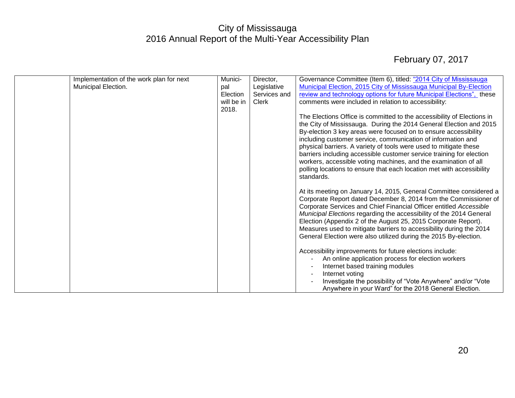| Implementation of the work plan for next | Munici-    | Director,    | Governance Committee (Item 6), titled: "2014 City of Mississauga       |
|------------------------------------------|------------|--------------|------------------------------------------------------------------------|
| Municipal Election.                      | pal        | Legislative  | Municipal Election, 2015 City of Mississauga Municipal By-Election     |
|                                          | Election   | Services and | review and technology options for future Municipal Elections", these   |
|                                          | will be in | Clerk        | comments were included in relation to accessibility:                   |
|                                          | 2018.      |              |                                                                        |
|                                          |            |              | The Elections Office is committed to the accessibility of Elections in |
|                                          |            |              | the City of Mississauga. During the 2014 General Election and 2015     |
|                                          |            |              | By-election 3 key areas were focused on to ensure accessibility        |
|                                          |            |              | including customer service, communication of information and           |
|                                          |            |              | physical barriers. A variety of tools were used to mitigate these      |
|                                          |            |              | barriers including accessible customer service training for election   |
|                                          |            |              | workers, accessible voting machines, and the examination of all        |
|                                          |            |              | polling locations to ensure that each location met with accessibility  |
|                                          |            |              | standards.                                                             |
|                                          |            |              |                                                                        |
|                                          |            |              |                                                                        |
|                                          |            |              | At its meeting on January 14, 2015, General Committee considered a     |
|                                          |            |              | Corporate Report dated December 8, 2014 from the Commissioner of       |
|                                          |            |              | Corporate Services and Chief Financial Officer entitled Accessible     |
|                                          |            |              | Municipal Elections regarding the accessibility of the 2014 General    |
|                                          |            |              | Election (Appendix 2 of the August 25, 2015 Corporate Report).         |
|                                          |            |              | Measures used to mitigate barriers to accessibility during the 2014    |
|                                          |            |              | General Election were also utilized during the 2015 By-election.       |
|                                          |            |              |                                                                        |
|                                          |            |              | Accessibility improvements for future elections include:               |
|                                          |            |              | An online application process for election workers                     |
|                                          |            |              | Internet based training modules                                        |
|                                          |            |              | Internet voting                                                        |
|                                          |            |              | Investigate the possibility of "Vote Anywhere" and/or "Vote            |
|                                          |            |              | Anywhere in your Ward" for the 2018 General Election.                  |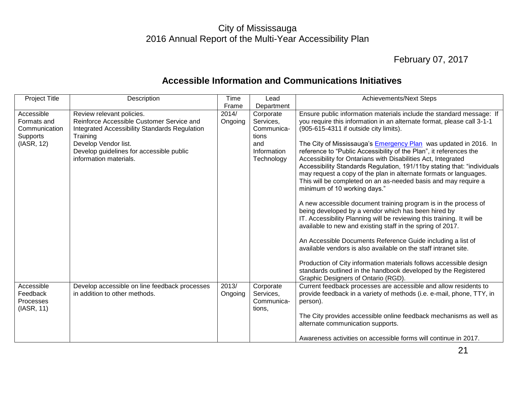## February 07, 2017

21

#### **Accessible Information and Communications Initiatives**

<span id="page-21-0"></span>

| <b>Project Title</b>                                                 | Description                                                                                                                                                                                                                       | Time             | Lead                                                                              | <b>Achievements/Next Steps</b>                                                                                                                                                                                                                                                                                                                                                                                                                                                                                                                                                                                                                                                                                                                                                                                                                                                                                                                                                                                                                                   |
|----------------------------------------------------------------------|-----------------------------------------------------------------------------------------------------------------------------------------------------------------------------------------------------------------------------------|------------------|-----------------------------------------------------------------------------------|------------------------------------------------------------------------------------------------------------------------------------------------------------------------------------------------------------------------------------------------------------------------------------------------------------------------------------------------------------------------------------------------------------------------------------------------------------------------------------------------------------------------------------------------------------------------------------------------------------------------------------------------------------------------------------------------------------------------------------------------------------------------------------------------------------------------------------------------------------------------------------------------------------------------------------------------------------------------------------------------------------------------------------------------------------------|
|                                                                      |                                                                                                                                                                                                                                   | Frame            | Department                                                                        |                                                                                                                                                                                                                                                                                                                                                                                                                                                                                                                                                                                                                                                                                                                                                                                                                                                                                                                                                                                                                                                                  |
| Accessible<br>Formats and<br>Communication<br>Supports<br>(IASR, 12) | Review relevant policies.<br>Reinforce Accessible Customer Service and<br>Integrated Accessibility Standards Regulation<br>Training<br>Develop Vendor list.<br>Develop guidelines for accessible public<br>information materials. | 2014/<br>Ongoing | Corporate<br>Services,<br>Communica-<br>tions<br>and<br>Information<br>Technology | Ensure public information materials include the standard message: If<br>you require this information in an alternate format, please call 3-1-1<br>(905-615-4311 if outside city limits).<br>The City of Mississauga's <b>Emergency Plan</b> was updated in 2016. In<br>reference to "Public Accessibility of the Plan", it references the<br>Accessibility for Ontarians with Disabilities Act, Integrated<br>Accessibility Standards Regulation, 191/11by stating that: "individuals<br>may request a copy of the plan in alternate formats or languages.<br>This will be completed on an as-needed basis and may require a<br>minimum of 10 working days."<br>A new accessible document training program is in the process of<br>being developed by a vendor which has been hired by<br>IT. Accessibility Planning will be reviewing this training. It will be<br>available to new and existing staff in the spring of 2017.<br>An Accessible Documents Reference Guide including a list of<br>available vendors is also available on the staff intranet site. |
|                                                                      |                                                                                                                                                                                                                                   |                  |                                                                                   | Production of City information materials follows accessible design<br>standards outlined in the handbook developed by the Registered<br>Graphic Designers of Ontario (RGD).                                                                                                                                                                                                                                                                                                                                                                                                                                                                                                                                                                                                                                                                                                                                                                                                                                                                                      |
| Accessible<br>Feedback<br>Processes<br>(IASR, 11)                    | Develop accessible on line feedback processes<br>in addition to other methods.                                                                                                                                                    | 2013/<br>Ongoing | Corporate<br>Services,<br>Communica-<br>tions,                                    | Current feedback processes are accessible and allow residents to<br>provide feedback in a variety of methods (i.e. e-mail, phone, TTY, in<br>person).                                                                                                                                                                                                                                                                                                                                                                                                                                                                                                                                                                                                                                                                                                                                                                                                                                                                                                            |
|                                                                      |                                                                                                                                                                                                                                   |                  |                                                                                   | The City provides accessible online feedback mechanisms as well as<br>alternate communication supports.                                                                                                                                                                                                                                                                                                                                                                                                                                                                                                                                                                                                                                                                                                                                                                                                                                                                                                                                                          |
|                                                                      |                                                                                                                                                                                                                                   |                  |                                                                                   | Awareness activities on accessible forms will continue in 2017.                                                                                                                                                                                                                                                                                                                                                                                                                                                                                                                                                                                                                                                                                                                                                                                                                                                                                                                                                                                                  |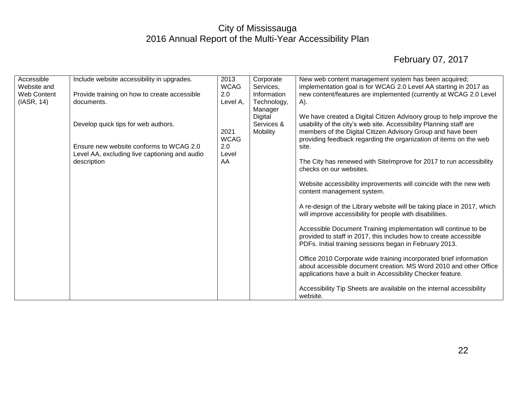| Accessible  | Include website accessibility in upgrades.    | 2013        | Corporate   | New web content management system has been acquired;                   |
|-------------|-----------------------------------------------|-------------|-------------|------------------------------------------------------------------------|
| Website and |                                               | <b>WCAG</b> | Services,   | implementation goal is for WCAG 2.0 Level AA starting in 2017 as       |
| Web Content | Provide training on how to create accessible  | 2.0         | Information | new content/features are implemented (currently at WCAG 2.0 Level      |
| (IASR, 14)  | documents.                                    | Level A,    | Technology, | A).                                                                    |
|             |                                               |             | Manager     |                                                                        |
|             |                                               |             | Digital     | We have created a Digital Citizen Advisory group to help improve the   |
|             | Develop quick tips for web authors.           |             | Services &  | usability of the city's web site. Accessibility Planning staff are     |
|             |                                               | 2021        | Mobility    | members of the Digital Citizen Advisory Group and have been            |
|             |                                               | <b>WCAG</b> |             | providing feedback regarding the organization of items on the web      |
|             | Ensure new website conforms to WCAG 2.0       | 2.0         |             | site.                                                                  |
|             | Level AA, excluding live captioning and audio | Level       |             |                                                                        |
|             | description                                   | AA          |             | The City has renewed with SiteImprove for 2017 to run accessibility    |
|             |                                               |             |             | checks on our websites.                                                |
|             |                                               |             |             |                                                                        |
|             |                                               |             |             | Website accessibility improvements will coincide with the new web      |
|             |                                               |             |             | content management system.                                             |
|             |                                               |             |             |                                                                        |
|             |                                               |             |             | A re-design of the Library website will be taking place in 2017, which |
|             |                                               |             |             | will improve accessibility for people with disabilities.               |
|             |                                               |             |             |                                                                        |
|             |                                               |             |             | Accessible Document Training implementation will continue to be        |
|             |                                               |             |             | provided to staff in 2017, this includes how to create accessible      |
|             |                                               |             |             | PDFs. Initial training sessions began in February 2013.                |
|             |                                               |             |             |                                                                        |
|             |                                               |             |             | Office 2010 Corporate wide training incorporated brief information     |
|             |                                               |             |             | about accessible document creation. MS Word 2010 and other Office      |
|             |                                               |             |             | applications have a built in Accessibility Checker feature.            |
|             |                                               |             |             |                                                                        |
|             |                                               |             |             | Accessibility Tip Sheets are available on the internal accessibility   |
|             |                                               |             |             | website.                                                               |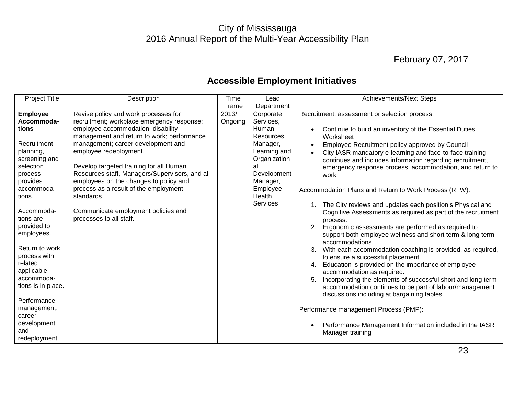## February 07, 2017

<span id="page-23-0"></span>

| <b>Project Title</b>                                                                                                                                               | Description                                                                                                                                                                                         | Time             | Lead                                                                      | <b>Achievements/Next Steps</b>                                                                                                                                                                                                                                                                                                                                                                                                                                                                                                                                                                                                                                     |
|--------------------------------------------------------------------------------------------------------------------------------------------------------------------|-----------------------------------------------------------------------------------------------------------------------------------------------------------------------------------------------------|------------------|---------------------------------------------------------------------------|--------------------------------------------------------------------------------------------------------------------------------------------------------------------------------------------------------------------------------------------------------------------------------------------------------------------------------------------------------------------------------------------------------------------------------------------------------------------------------------------------------------------------------------------------------------------------------------------------------------------------------------------------------------------|
|                                                                                                                                                                    |                                                                                                                                                                                                     | Frame            | Department                                                                |                                                                                                                                                                                                                                                                                                                                                                                                                                                                                                                                                                                                                                                                    |
| <b>Employee</b><br>Accommoda-<br>tions                                                                                                                             | Revise policy and work processes for<br>recruitment; workplace emergency response;<br>employee accommodation; disability<br>management and return to work; performance                              | 2013/<br>Ongoing | Corporate<br>Services,<br>Human<br>Resources,                             | Recruitment, assessment or selection process:<br>Continue to build an inventory of the Essential Duties<br>Worksheet                                                                                                                                                                                                                                                                                                                                                                                                                                                                                                                                               |
| Recruitment<br>planning,<br>screening and<br>selection<br>process<br>provides                                                                                      | management; career development and<br>employee redeployment.<br>Develop targeted training for all Human<br>Resources staff, Managers/Supervisors, and all<br>employees on the changes to policy and |                  | Manager,<br>Learning and<br>Organization<br>al<br>Development<br>Manager, | Employee Recruitment policy approved by Council<br>City IASR mandatory e-learning and face-to-face training<br>continues and includes information regarding recruitment,<br>emergency response process, accommodation, and return to<br>work                                                                                                                                                                                                                                                                                                                                                                                                                       |
| accommoda-<br>tions.                                                                                                                                               | process as a result of the employment<br>standards.                                                                                                                                                 |                  | Employee<br>Health                                                        | Accommodation Plans and Return to Work Process (RTW):                                                                                                                                                                                                                                                                                                                                                                                                                                                                                                                                                                                                              |
| Accommoda-<br>tions are<br>provided to<br>employees.<br>Return to work<br>process with<br>related<br>applicable<br>accommoda-<br>tions is in place.<br>Performance | Communicate employment policies and<br>processes to all staff.                                                                                                                                      |                  | Services                                                                  | The City reviews and updates each position's Physical and<br>Cognitive Assessments as required as part of the recruitment<br>process.<br>Ergonomic assessments are performed as required to<br>2.<br>support both employee wellness and short term & long term<br>accommodations.<br>With each accommodation coaching is provided, as required,<br>3.<br>to ensure a successful placement.<br>4. Education is provided on the importance of employee<br>accommodation as required.<br>5.<br>Incorporating the elements of successful short and long term<br>accommodation continues to be part of labour/management<br>discussions including at bargaining tables. |
| management,<br>career<br>development<br>and<br>redeployment                                                                                                        |                                                                                                                                                                                                     |                  |                                                                           | Performance management Process (PMP):<br>Performance Management Information included in the IASR<br>Manager training                                                                                                                                                                                                                                                                                                                                                                                                                                                                                                                                               |

## **Accessible Employment Initiatives**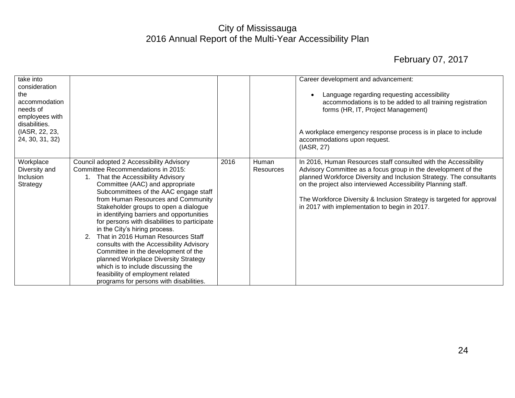| take into<br>consideration<br>the<br>accommodation<br>needs of<br>employees with<br>disabilities.<br>(IASR, 22, 23,<br>24, 30, 31, 32) |                                                                                                                                                                                                                                                                                                                                                                                                                                                                                                                                                                                                                                                                                                         |      |                           | Career development and advancement:<br>Language regarding requesting accessibility<br>accommodations is to be added to all training registration<br>forms (HR, IT, Project Management)<br>A workplace emergency response process is in place to include<br>accommodations upon request.<br>(IASR, 27)                                                                                              |
|----------------------------------------------------------------------------------------------------------------------------------------|---------------------------------------------------------------------------------------------------------------------------------------------------------------------------------------------------------------------------------------------------------------------------------------------------------------------------------------------------------------------------------------------------------------------------------------------------------------------------------------------------------------------------------------------------------------------------------------------------------------------------------------------------------------------------------------------------------|------|---------------------------|----------------------------------------------------------------------------------------------------------------------------------------------------------------------------------------------------------------------------------------------------------------------------------------------------------------------------------------------------------------------------------------------------|
| Workplace<br>Diversity and<br>Inclusion<br>Strategy                                                                                    | Council adopted 2 Accessibility Advisory<br>Committee Recommendations in 2015:<br>That the Accessibility Advisory<br>Committee (AAC) and appropriate<br>Subcommittees of the AAC engage staff<br>from Human Resources and Community<br>Stakeholder groups to open a dialogue<br>in identifying barriers and opportunities<br>for persons with disabilities to participate<br>in the City's hiring process.<br>That in 2016 Human Resources Staff<br>2.<br>consults with the Accessibility Advisory<br>Committee in the development of the<br>planned Workplace Diversity Strategy<br>which is to include discussing the<br>feasibility of employment related<br>programs for persons with disabilities. | 2016 | Human<br><b>Resources</b> | In 2016, Human Resources staff consulted with the Accessibility<br>Advisory Committee as a focus group in the development of the<br>planned Workforce Diversity and Inclusion Strategy. The consultants<br>on the project also interviewed Accessibility Planning staff.<br>The Workforce Diversity & Inclusion Strategy is targeted for approval<br>in 2017 with implementation to begin in 2017. |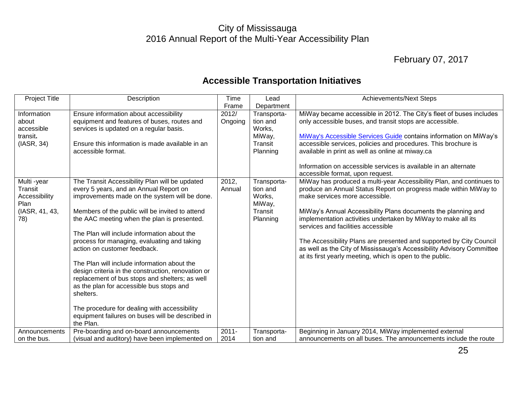## February 07, 2017

## **Accessible Transportation Initiatives**

<span id="page-25-0"></span>

| <b>Project Title</b>     | Description                                                                             | Time     | Lead                    | <b>Achievements/Next Steps</b>                                                                     |
|--------------------------|-----------------------------------------------------------------------------------------|----------|-------------------------|----------------------------------------------------------------------------------------------------|
|                          |                                                                                         | Frame    | Department              |                                                                                                    |
| Information              | Ensure information about accessibility                                                  | 2012/    | Transporta-             | MiWay became accessible in 2012. The City's fleet of buses includes                                |
| about                    | equipment and features of buses, routes and                                             | Ongoing  | tion and                | only accessible buses, and transit stops are accessible.                                           |
| accessible               | services is updated on a regular basis.                                                 |          | Works,                  |                                                                                                    |
| transit.                 |                                                                                         |          | MiWay,                  | MiWay's Accessible Services Guide contains information on MiWay's                                  |
| (IASR, 34)               | Ensure this information is made available in an                                         |          | Transit                 | accessible services, policies and procedures. This brochure is                                     |
|                          | accessible format.                                                                      |          | Planning                | available in print as well as online at miway.ca                                                   |
|                          |                                                                                         |          |                         |                                                                                                    |
|                          |                                                                                         |          |                         | Information on accessible services is available in an alternate                                    |
|                          |                                                                                         |          |                         | accessible format, upon request.                                                                   |
| Multi -year              | The Transit Accessibility Plan will be updated                                          | 2012,    | Transporta-<br>tion and | MiWay has produced a multi-year Accessibility Plan, and continues to                               |
| Transit<br>Accessibility | every 5 years, and an Annual Report on<br>improvements made on the system will be done. | Annual   | Works,                  | produce an Annual Status Report on progress made within MiWay to<br>make services more accessible. |
| Plan                     |                                                                                         |          | MiWay,                  |                                                                                                    |
| (IASR, 41, 43,           | Members of the public will be invited to attend                                         |          | Transit                 | MiWay's Annual Accessibility Plans documents the planning and                                      |
| 78)                      | the AAC meeting when the plan is presented.                                             |          | Planning                | implementation activities undertaken by MiWay to make all its                                      |
|                          |                                                                                         |          |                         | services and facilities accessible                                                                 |
|                          | The Plan will include information about the                                             |          |                         |                                                                                                    |
|                          | process for managing, evaluating and taking                                             |          |                         | The Accessibility Plans are presented and supported by City Council                                |
|                          | action on customer feedback.                                                            |          |                         | as well as the City of Mississauga's Accessibility Advisory Committee                              |
|                          |                                                                                         |          |                         | at its first yearly meeting, which is open to the public.                                          |
|                          | The Plan will include information about the                                             |          |                         |                                                                                                    |
|                          | design criteria in the construction, renovation or                                      |          |                         |                                                                                                    |
|                          | replacement of bus stops and shelters; as well                                          |          |                         |                                                                                                    |
|                          | as the plan for accessible bus stops and                                                |          |                         |                                                                                                    |
|                          | shelters.                                                                               |          |                         |                                                                                                    |
|                          |                                                                                         |          |                         |                                                                                                    |
|                          | The procedure for dealing with accessibility                                            |          |                         |                                                                                                    |
|                          | equipment failures on buses will be described in                                        |          |                         |                                                                                                    |
|                          | the Plan.                                                                               |          |                         |                                                                                                    |
| Announcements            | Pre-boarding and on-board announcements                                                 | $2011 -$ | Transporta-<br>tion and | Beginning in January 2014, MiWay implemented external                                              |
| on the bus.              | (visual and auditory) have been implemented on                                          | 2014     |                         | announcements on all buses. The announcements include the route                                    |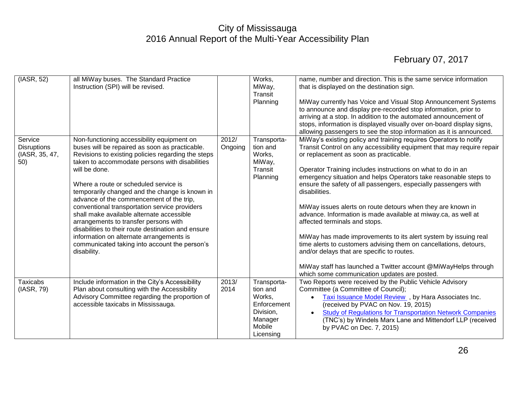| (IASR, 52)                                             | all MiWay buses. The Standard Practice<br>Instruction (SPI) will be revised.                                                                                                                                                                                                                                                                                                                                                                                                                                                                                                                                                                                          |                  | Works,<br>MiWay,<br>Transit<br>Planning                                                         | name, number and direction. This is the same service information<br>that is displayed on the destination sign.<br>MiWay currently has Voice and Visual Stop Announcement Systems<br>to announce and display pre-recorded stop information, prior to<br>arriving at a stop. In addition to the automated announcement of<br>stops, information is displayed visually over on-board display signs,<br>allowing passengers to see the stop information as it is announced.                                                                                                                                                                                                                                                                                                                                                                                                                |
|--------------------------------------------------------|-----------------------------------------------------------------------------------------------------------------------------------------------------------------------------------------------------------------------------------------------------------------------------------------------------------------------------------------------------------------------------------------------------------------------------------------------------------------------------------------------------------------------------------------------------------------------------------------------------------------------------------------------------------------------|------------------|-------------------------------------------------------------------------------------------------|----------------------------------------------------------------------------------------------------------------------------------------------------------------------------------------------------------------------------------------------------------------------------------------------------------------------------------------------------------------------------------------------------------------------------------------------------------------------------------------------------------------------------------------------------------------------------------------------------------------------------------------------------------------------------------------------------------------------------------------------------------------------------------------------------------------------------------------------------------------------------------------|
| Service<br><b>Disruptions</b><br>(IASR, 35, 47,<br>50) | Non-functioning accessibility equipment on<br>buses will be repaired as soon as practicable.<br>Revisions to existing policies regarding the steps<br>taken to accommodate persons with disabilities<br>will be done.<br>Where a route or scheduled service is<br>temporarily changed and the change is known in<br>advance of the commencement of the trip,<br>conventional transportation service providers<br>shall make available alternate accessible<br>arrangements to transfer persons with<br>disabilities to their route destination and ensure<br>information on alternate arrangements is<br>communicated taking into account the person's<br>disability. | 2012/<br>Ongoing | Transporta-<br>tion and<br>Works,<br>MiWay,<br>Transit<br>Planning                              | MiWay's existing policy and training requires Operators to notify<br>Transit Control on any accessibility equipment that may require repair<br>or replacement as soon as practicable.<br>Operator Training includes instructions on what to do in an<br>emergency situation and helps Operators take reasonable steps to<br>ensure the safety of all passengers, especially passengers with<br>disabilities.<br>MiWay issues alerts on route detours when they are known in<br>advance. Information is made available at miway.ca, as well at<br>affected terminals and stops.<br>MiWay has made improvements to its alert system by issuing real<br>time alerts to customers advising them on cancellations, detours,<br>and/or delays that are specific to routes.<br>MiWay staff has launched a Twitter account @MiWayHelps through<br>which some communication updates are posted. |
| <b>Taxicabs</b><br>(IASR, 79)                          | Include information in the City's Accessibility<br>Plan about consulting with the Accessibility<br>Advisory Committee regarding the proportion of<br>accessible taxicabs in Mississauga.                                                                                                                                                                                                                                                                                                                                                                                                                                                                              | 2013/<br>2014    | Transporta-<br>tion and<br>Works,<br>Enforcement<br>Division,<br>Manager<br>Mobile<br>Licensing | Two Reports were received by the Public Vehicle Advisory<br>Committee (a Committee of Council);<br>Taxi Issuance Model Review , by Hara Associates Inc.<br>$\bullet$<br>(received by PVAC on Nov. 19, 2015)<br><b>Study of Regulations for Transportation Network Companies</b><br>$\bullet$<br>(TNC's) by Windels Marx Lane and Mittendorf LLP (received<br>by PVAC on Dec. 7, 2015)                                                                                                                                                                                                                                                                                                                                                                                                                                                                                                  |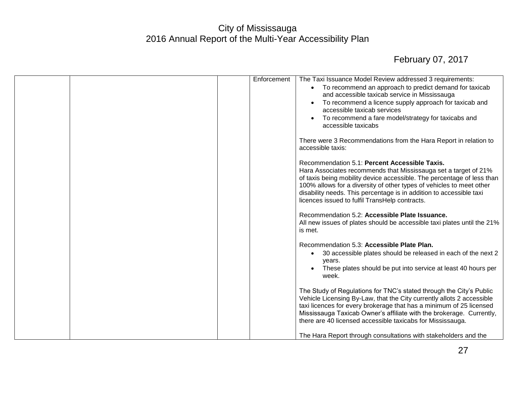|  | Enforcement | The Taxi Issuance Model Review addressed 3 requirements:                                                                                                                                                                                                                                                                                                                                    |
|--|-------------|---------------------------------------------------------------------------------------------------------------------------------------------------------------------------------------------------------------------------------------------------------------------------------------------------------------------------------------------------------------------------------------------|
|  |             | To recommend an approach to predict demand for taxicab<br>and accessible taxicab service in Mississauga                                                                                                                                                                                                                                                                                     |
|  |             | To recommend a licence supply approach for taxicab and<br>accessible taxicab services                                                                                                                                                                                                                                                                                                       |
|  |             | To recommend a fare model/strategy for taxicabs and<br>$\bullet$<br>accessible taxicabs                                                                                                                                                                                                                                                                                                     |
|  |             | There were 3 Recommendations from the Hara Report in relation to<br>accessible taxis:                                                                                                                                                                                                                                                                                                       |
|  |             | Recommendation 5.1: Percent Accessible Taxis.<br>Hara Associates recommends that Mississauga set a target of 21%<br>of taxis being mobility device accessible. The percentage of less than<br>100% allows for a diversity of other types of vehicles to meet other<br>disability needs. This percentage is in addition to accessible taxi<br>licences issued to fulfil TransHelp contracts. |
|  |             | Recommendation 5.2: Accessible Plate Issuance.<br>All new issues of plates should be accessible taxi plates until the 21%<br>is met.                                                                                                                                                                                                                                                        |
|  |             | Recommendation 5.3: Accessible Plate Plan.<br>30 accessible plates should be released in each of the next 2<br>$\bullet$<br>years.<br>These plates should be put into service at least 40 hours per<br>week.                                                                                                                                                                                |
|  |             | The Study of Regulations for TNC's stated through the City's Public<br>Vehicle Licensing By-Law, that the City currently allots 2 accessible<br>taxi licences for every brokerage that has a minimum of 25 licensed<br>Mississauga Taxicab Owner's affiliate with the brokerage. Currently,<br>there are 40 licensed accessible taxicabs for Mississauga.                                   |
|  |             | The Hara Report through consultations with stakeholders and the                                                                                                                                                                                                                                                                                                                             |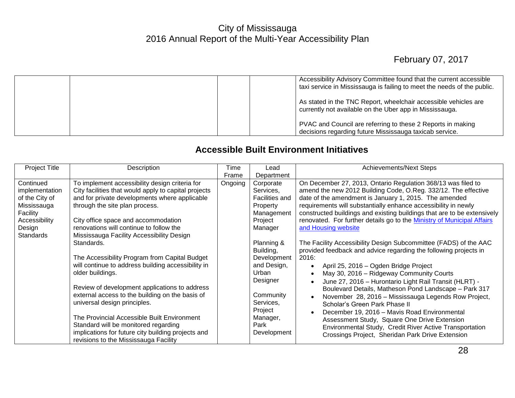## February 07, 2017

|  | Accessibility Advisory Committee found that the current accessible<br>taxi service in Mississauga is failing to meet the needs of the public. |
|--|-----------------------------------------------------------------------------------------------------------------------------------------------|
|  | As stated in the TNC Report, wheelchair accessible vehicles are<br>currently not available on the Uber app in Mississauga.                    |
|  | PVAC and Council are referring to these 2 Reports in making<br>decisions regarding future Mississauga taxicab service.                        |

#### **Accessible Built Environment Initiatives**

<span id="page-28-0"></span>

| <b>Project Title</b> | Description                                          | Time    | Lead           | <b>Achievements/Next Steps</b>                                          |
|----------------------|------------------------------------------------------|---------|----------------|-------------------------------------------------------------------------|
|                      |                                                      | Frame   | Department     |                                                                         |
| Continued            | To implement accessibility design criteria for       | Ongoing | Corporate      | On December 27, 2013, Ontario Regulation 368/13 was filed to            |
| implementation       | City facilities that would apply to capital projects |         | Services,      | amend the new 2012 Building Code, O.Reg. 332/12. The effective          |
| of the City of       | and for private developments where applicable        |         | Facilities and | date of the amendment is January 1, 2015. The amended                   |
| Mississauga          | through the site plan process.                       |         | Property       | requirements will substantially enhance accessibility in newly          |
| Facility             |                                                      |         | Management     | constructed buildings and existing buildings that are to be extensively |
| Accessibility        | City office space and accommodation                  |         | Project        | renovated. For further details go to the Ministry of Municipal Affairs  |
| Design               | renovations will continue to follow the              |         | Manager        | and Housing website                                                     |
| <b>Standards</b>     | Mississauga Facility Accessibility Design            |         |                |                                                                         |
|                      | Standards.                                           |         | Planning &     | The Facility Accessibility Design Subcommittee (FADS) of the AAC        |
|                      |                                                      |         | Building,      | provided feedback and advice regarding the following projects in        |
|                      | The Accessibility Program from Capital Budget        |         | Development    | 2016:                                                                   |
|                      | will continue to address building accessibility in   |         | and Design,    | April 25, 2016 – Ogden Bridge Project                                   |
|                      | older buildings.                                     |         | Urban          | May 30, 2016 - Ridgeway Community Courts                                |
|                      |                                                      |         | Designer       | June 27, 2016 - Hurontario Light Rail Transit (HLRT) -                  |
|                      | Review of development applications to address        |         |                | Boulevard Details, Matheson Pond Landscape - Park 317                   |
|                      | external access to the building on the basis of      |         | Community      | November 28, 2016 - Mississauga Legends Row Project,                    |
|                      | universal design principles.                         |         | Services,      | Scholar's Green Park Phase II                                           |
|                      |                                                      |         | Project        | December 19, 2016 - Mavis Road Environmental                            |
|                      | The Provincial Accessible Built Environment          |         | Manager,       | Assessment Study, Square One Drive Extension                            |
|                      | Standard will be monitored regarding                 |         | Park           | Environmental Study, Credit River Active Transportation                 |
|                      | implications for future city building projects and   |         | Development    | Crossings Project, Sheridan Park Drive Extension                        |
|                      | revisions to the Mississauga Facility                |         |                |                                                                         |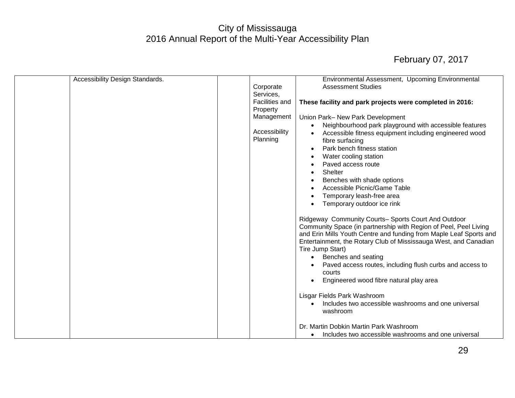| Accessibility Design Standards. |                       | Environmental Assessment, Upcoming Environmental                                                                                       |
|---------------------------------|-----------------------|----------------------------------------------------------------------------------------------------------------------------------------|
|                                 | Corporate             | <b>Assessment Studies</b>                                                                                                              |
|                                 | Services,             |                                                                                                                                        |
|                                 | <b>Facilities and</b> | These facility and park projects were completed in 2016:                                                                               |
|                                 | Property              |                                                                                                                                        |
|                                 | Management            | Union Park- New Park Development                                                                                                       |
|                                 |                       | Neighbourhood park playground with accessible features                                                                                 |
|                                 | Accessibility         | Accessible fitness equipment including engineered wood                                                                                 |
|                                 | Planning              | fibre surfacing                                                                                                                        |
|                                 |                       | Park bench fitness station                                                                                                             |
|                                 |                       | Water cooling station                                                                                                                  |
|                                 |                       | Paved access route                                                                                                                     |
|                                 |                       |                                                                                                                                        |
|                                 |                       | <b>Shelter</b>                                                                                                                         |
|                                 |                       | Benches with shade options                                                                                                             |
|                                 |                       | Accessible Picnic/Game Table                                                                                                           |
|                                 |                       | Temporary leash-free area                                                                                                              |
|                                 |                       | Temporary outdoor ice rink                                                                                                             |
|                                 |                       | Ridgeway Community Courts- Sports Court And Outdoor<br>Community Space (in partnership with Region of Peel, Peel Living                |
|                                 |                       | and Erin Mills Youth Centre and funding from Maple Leaf Sports and<br>Entertainment, the Rotary Club of Mississauga West, and Canadian |
|                                 |                       | Tire Jump Start)                                                                                                                       |
|                                 |                       | • Benches and seating                                                                                                                  |
|                                 |                       | Paved access routes, including flush curbs and access to                                                                               |
|                                 |                       | courts                                                                                                                                 |
|                                 |                       | Engineered wood fibre natural play area                                                                                                |
|                                 |                       | Lisgar Fields Park Washroom                                                                                                            |
|                                 |                       | Includes two accessible washrooms and one universal                                                                                    |
|                                 |                       | washroom                                                                                                                               |
|                                 |                       |                                                                                                                                        |
|                                 |                       | Dr. Martin Dobkin Martin Park Washroom                                                                                                 |
|                                 |                       | Includes two accessible washrooms and one universal                                                                                    |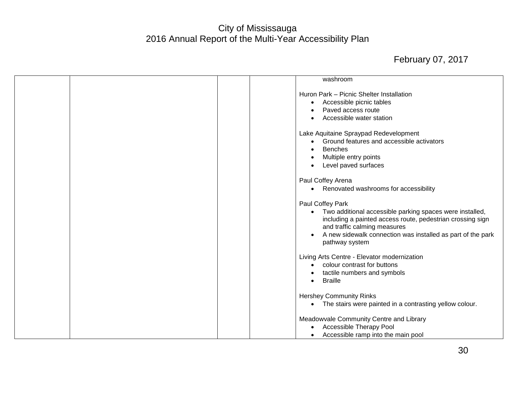|  | washroom                                                                                                                                                                                                                                                    |
|--|-------------------------------------------------------------------------------------------------------------------------------------------------------------------------------------------------------------------------------------------------------------|
|  | Huron Park - Picnic Shelter Installation<br>Accessible picnic tables<br>$\bullet$<br>Paved access route<br>Accessible water station                                                                                                                         |
|  | Lake Aquitaine Spraypad Redevelopment<br>Ground features and accessible activators<br><b>Benches</b><br>Multiple entry points<br>Level paved surfaces                                                                                                       |
|  | Paul Coffey Arena<br>Renovated washrooms for accessibility                                                                                                                                                                                                  |
|  | Paul Coffey Park<br>Two additional accessible parking spaces were installed,<br>including a painted access route, pedestrian crossing sign<br>and traffic calming measures<br>A new sidewalk connection was installed as part of the park<br>pathway system |
|  | Living Arts Centre - Elevator modernization<br>colour contrast for buttons<br>tactile numbers and symbols<br><b>Braille</b>                                                                                                                                 |
|  | <b>Hershey Community Rinks</b><br>• The stairs were painted in a contrasting yellow colour.                                                                                                                                                                 |
|  | Meadowvale Community Centre and Library<br>Accessible Therapy Pool<br>Accessible ramp into the main pool                                                                                                                                                    |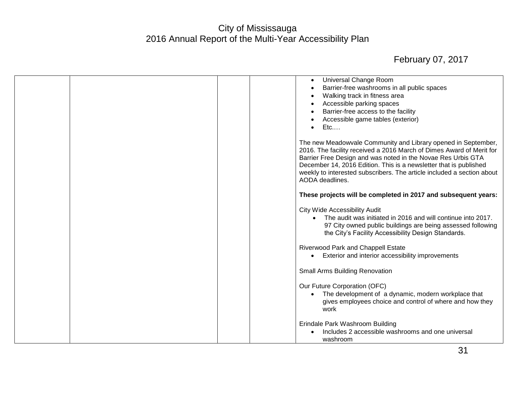|  | Universal Change Room<br>$\bullet$                                                                                                                                                                                                                                                                                                                                      |
|--|-------------------------------------------------------------------------------------------------------------------------------------------------------------------------------------------------------------------------------------------------------------------------------------------------------------------------------------------------------------------------|
|  | Barrier-free washrooms in all public spaces                                                                                                                                                                                                                                                                                                                             |
|  | Walking track in fitness area                                                                                                                                                                                                                                                                                                                                           |
|  | Accessible parking spaces                                                                                                                                                                                                                                                                                                                                               |
|  | Barrier-free access to the facility                                                                                                                                                                                                                                                                                                                                     |
|  | Accessible game tables (exterior)                                                                                                                                                                                                                                                                                                                                       |
|  | Etc<br>$\bullet$                                                                                                                                                                                                                                                                                                                                                        |
|  | The new Meadowvale Community and Library opened in September,<br>2016. The facility received a 2016 March of Dimes Award of Merit for<br>Barrier Free Design and was noted in the Novae Res Urbis GTA<br>December 14, 2016 Edition. This is a newsletter that is published<br>weekly to interested subscribers. The article included a section about<br>AODA deadlines. |
|  | These projects will be completed in 2017 and subsequent years:                                                                                                                                                                                                                                                                                                          |
|  | <b>City Wide Accessibility Audit</b>                                                                                                                                                                                                                                                                                                                                    |
|  | • The audit was initiated in 2016 and will continue into 2017.<br>97 City owned public buildings are being assessed following<br>the City's Facility Accessibility Design Standards.                                                                                                                                                                                    |
|  | Riverwood Park and Chappell Estate                                                                                                                                                                                                                                                                                                                                      |
|  | Exterior and interior accessibility improvements<br>$\bullet$                                                                                                                                                                                                                                                                                                           |
|  | <b>Small Arms Building Renovation</b>                                                                                                                                                                                                                                                                                                                                   |
|  | Our Future Corporation (OFC)                                                                                                                                                                                                                                                                                                                                            |
|  | The development of a dynamic, modern workplace that                                                                                                                                                                                                                                                                                                                     |
|  | gives employees choice and control of where and how they<br>work                                                                                                                                                                                                                                                                                                        |
|  | Erindale Park Washroom Building                                                                                                                                                                                                                                                                                                                                         |
|  | Includes 2 accessible washrooms and one universal                                                                                                                                                                                                                                                                                                                       |
|  | washroom                                                                                                                                                                                                                                                                                                                                                                |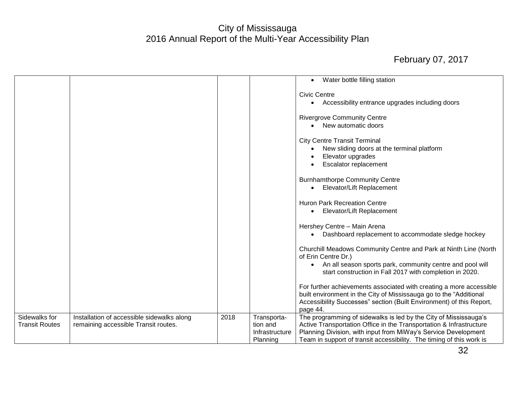|                       |                                            |      |                | Water bottle filling station<br>$\bullet$                                                                                                 |
|-----------------------|--------------------------------------------|------|----------------|-------------------------------------------------------------------------------------------------------------------------------------------|
|                       |                                            |      |                | <b>Civic Centre</b>                                                                                                                       |
|                       |                                            |      |                | Accessibility entrance upgrades including doors                                                                                           |
|                       |                                            |      |                | <b>Rivergrove Community Centre</b>                                                                                                        |
|                       |                                            |      |                | New automatic doors                                                                                                                       |
|                       |                                            |      |                | <b>City Centre Transit Terminal</b>                                                                                                       |
|                       |                                            |      |                | New sliding doors at the terminal platform                                                                                                |
|                       |                                            |      |                | Elevator upgrades                                                                                                                         |
|                       |                                            |      |                | Escalator replacement                                                                                                                     |
|                       |                                            |      |                | <b>Burnhamthorpe Community Centre</b>                                                                                                     |
|                       |                                            |      |                | Elevator/Lift Replacement                                                                                                                 |
|                       |                                            |      |                | <b>Huron Park Recreation Centre</b>                                                                                                       |
|                       |                                            |      |                | Elevator/Lift Replacement                                                                                                                 |
|                       |                                            |      |                | Hershey Centre - Main Arena                                                                                                               |
|                       |                                            |      |                | Dashboard replacement to accommodate sledge hockey                                                                                        |
|                       |                                            |      |                | Churchill Meadows Community Centre and Park at Ninth Line (North<br>of Erin Centre Dr.)                                                   |
|                       |                                            |      |                | An all season sports park, community centre and pool will<br>start construction in Fall 2017 with completion in 2020.                     |
|                       |                                            |      |                | For further achievements associated with creating a more accessible<br>built environment in the City of Mississauga go to the "Additional |
|                       |                                            |      |                | Accessibility Successes" section (Built Environment) of this Report,<br>page 44.                                                          |
| Sidewalks for         | Installation of accessible sidewalks along | 2018 | Transporta-    | The programming of sidewalks is led by the City of Mississauga's                                                                          |
| <b>Transit Routes</b> | remaining accessible Transit routes.       |      | tion and       | Active Transportation Office in the Transportation & Infrastructure                                                                       |
|                       |                                            |      | Infrastructure | Planning Division, with input from MiWay's Service Development                                                                            |
|                       |                                            |      | Planning       | Team in support of transit accessibility. The timing of this work is                                                                      |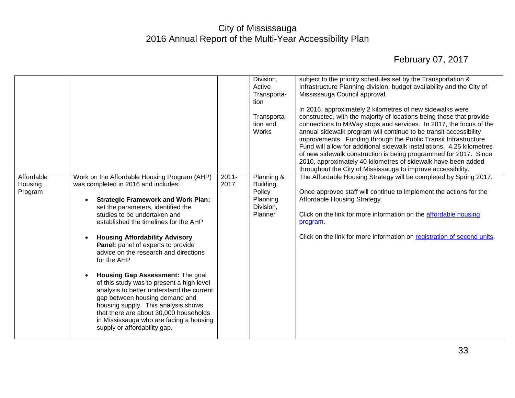|                                  |                                                                                                                                                                                                                                                                                                                                                                                                                                                                                                                                                                                                                                                                                                                    |                  | Division,<br>Active<br>Transporta-<br>tion<br>Transporta-<br>tion and<br><b>Works</b> | subject to the priority schedules set by the Transportation &<br>Infrastructure Planning division, budget availability and the City of<br>Mississauga Council approval.<br>In 2016, approximately 2 kilometres of new sidewalks were<br>constructed, with the majority of locations being those that provide<br>connections to MiWay stops and services. In 2017, the focus of the<br>annual sidewalk program will continue to be transit accessibility<br>improvements. Funding through the Public Transit Infrastructure<br>Fund will allow for additional sidewalk installations. 4.25 kilometres<br>of new sidewalk construction is being programmed for 2017. Since<br>2010, approximately 40 kilometres of sidewalk have been added<br>throughout the City of Mississauga to improve accessibility. |
|----------------------------------|--------------------------------------------------------------------------------------------------------------------------------------------------------------------------------------------------------------------------------------------------------------------------------------------------------------------------------------------------------------------------------------------------------------------------------------------------------------------------------------------------------------------------------------------------------------------------------------------------------------------------------------------------------------------------------------------------------------------|------------------|---------------------------------------------------------------------------------------|-----------------------------------------------------------------------------------------------------------------------------------------------------------------------------------------------------------------------------------------------------------------------------------------------------------------------------------------------------------------------------------------------------------------------------------------------------------------------------------------------------------------------------------------------------------------------------------------------------------------------------------------------------------------------------------------------------------------------------------------------------------------------------------------------------------|
| Affordable<br>Housing<br>Program | Work on the Affordable Housing Program (AHP)<br>was completed in 2016 and includes:<br><b>Strategic Framework and Work Plan:</b><br>set the parameters, identified the<br>studies to be undertaken and<br>established the timelines for the AHP<br><b>Housing Affordability Advisory</b><br>Panel: panel of experts to provide<br>advice on the research and directions<br>for the AHP<br>Housing Gap Assessment: The goal<br>of this study was to present a high level<br>analysis to better understand the current<br>gap between housing demand and<br>housing supply. This analysis shows<br>that there are about 30,000 households<br>in Mississauga who are facing a housing<br>supply or affordability gap. | $2011 -$<br>2017 | Planning &<br>Building,<br>Policy<br>Planning<br>Division,<br>Planner                 | The Affordable Housing Strategy will be completed by Spring 2017.<br>Once approved staff will continue to implement the actions for the<br>Affordable Housing Strategy.<br>Click on the link for more information on the affordable housing<br>program.<br>Click on the link for more information on registration of second units.                                                                                                                                                                                                                                                                                                                                                                                                                                                                        |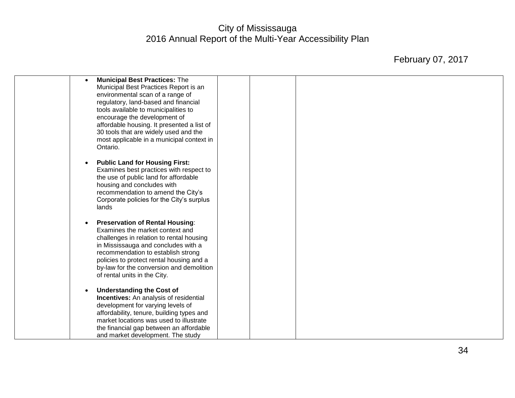| <b>Municipal Best Practices: The</b><br>$\bullet$<br>Municipal Best Practices Report is an<br>environmental scan of a range of<br>regulatory, land-based and financial<br>tools available to municipalities to<br>encourage the development of                                                                             |  |  |
|----------------------------------------------------------------------------------------------------------------------------------------------------------------------------------------------------------------------------------------------------------------------------------------------------------------------------|--|--|
| affordable housing. It presented a list of<br>30 tools that are widely used and the<br>most applicable in a municipal context in<br>Ontario.                                                                                                                                                                               |  |  |
| <b>Public Land for Housing First:</b><br>Examines best practices with respect to<br>the use of public land for affordable<br>housing and concludes with<br>recommendation to amend the City's<br>Corporate policies for the City's surplus<br>lands                                                                        |  |  |
| <b>Preservation of Rental Housing:</b><br>Examines the market context and<br>challenges in relation to rental housing<br>in Mississauga and concludes with a<br>recommendation to establish strong<br>policies to protect rental housing and a<br>by-law for the conversion and demolition<br>of rental units in the City. |  |  |
| <b>Understanding the Cost of</b><br>Incentives: An analysis of residential<br>development for varying levels of<br>affordability, tenure, building types and<br>market locations was used to illustrate<br>the financial gap between an affordable<br>and market development. The study                                    |  |  |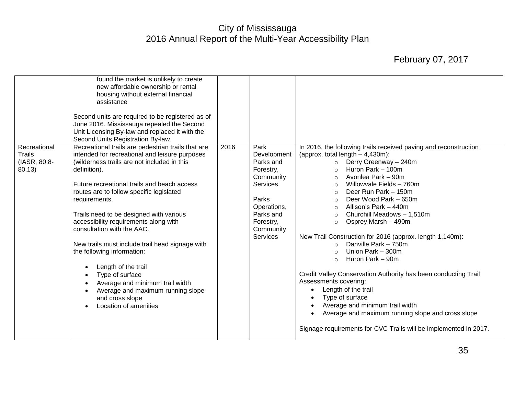|                                  | found the market is unlikely to create<br>new affordable ownership or rental<br>housing without external financial<br>assistance<br>Second units are required to be registered as of<br>June 2016. Mississauga repealed the Second<br>Unit Licensing By-law and replaced it with the                                                                                                                                                                                                                                                                                                                                 |      |                                                                                                                                                         |                                                                                                                                                                                                                                                                                                                                                                                                                                                                                                                                                                                                                                                                                                                                                                                                                                     |
|----------------------------------|----------------------------------------------------------------------------------------------------------------------------------------------------------------------------------------------------------------------------------------------------------------------------------------------------------------------------------------------------------------------------------------------------------------------------------------------------------------------------------------------------------------------------------------------------------------------------------------------------------------------|------|---------------------------------------------------------------------------------------------------------------------------------------------------------|-------------------------------------------------------------------------------------------------------------------------------------------------------------------------------------------------------------------------------------------------------------------------------------------------------------------------------------------------------------------------------------------------------------------------------------------------------------------------------------------------------------------------------------------------------------------------------------------------------------------------------------------------------------------------------------------------------------------------------------------------------------------------------------------------------------------------------------|
| Recreational                     | Second Units Registration By-law.<br>Recreational trails are pedestrian trails that are                                                                                                                                                                                                                                                                                                                                                                                                                                                                                                                              | 2016 | Park                                                                                                                                                    | In 2016, the following trails received paving and reconstruction                                                                                                                                                                                                                                                                                                                                                                                                                                                                                                                                                                                                                                                                                                                                                                    |
| Trails<br>(IASR, 80.8-<br>80.13) | intended for recreational and leisure purposes<br>(wilderness trails are not included in this<br>definition).<br>Future recreational trails and beach access<br>routes are to follow specific legislated<br>requirements.<br>Trails need to be designed with various<br>accessibility requirements along with<br>consultation with the AAC.<br>New trails must include trail head signage with<br>the following information:<br>Length of the trail<br>Type of surface<br>$\bullet$<br>Average and minimum trail width<br>Average and maximum running slope<br>$\bullet$<br>and cross slope<br>Location of amenities |      | Development<br>Parks and<br>Forestry,<br>Community<br><b>Services</b><br>Parks<br>Operations,<br>Parks and<br>Forestry,<br>Community<br><b>Services</b> | (approx. total length $-4,430$ m):<br>Derry Greenway - 240m<br>$\circ$<br>Huron Park - 100m<br>$\circ$<br>Avonlea Park – 90m<br>$\circ$<br>Willowvale Fields - 760m<br>$\circ$<br>Deer Run Park - 150m<br>$\circ$<br>Deer Wood Park - 650m<br>$\circ$<br>Allison's Park - 440m<br>$\circ$<br>Churchill Meadows - 1,510m<br>$\circ$<br>Osprey Marsh - 490m<br>$\circ$<br>New Trail Construction for 2016 (approx. length 1,140m):<br>Danville Park - 750m<br>$\circ$<br>Union Park - 300m<br>$\circ$<br>Huron Park - 90m<br>$\circ$<br>Credit Valley Conservation Authority has been conducting Trail<br>Assessments covering:<br>Length of the trail<br>Type of surface<br>Average and minimum trail width<br>Average and maximum running slope and cross slope<br>Signage requirements for CVC Trails will be implemented in 2017. |
|                                  |                                                                                                                                                                                                                                                                                                                                                                                                                                                                                                                                                                                                                      |      |                                                                                                                                                         |                                                                                                                                                                                                                                                                                                                                                                                                                                                                                                                                                                                                                                                                                                                                                                                                                                     |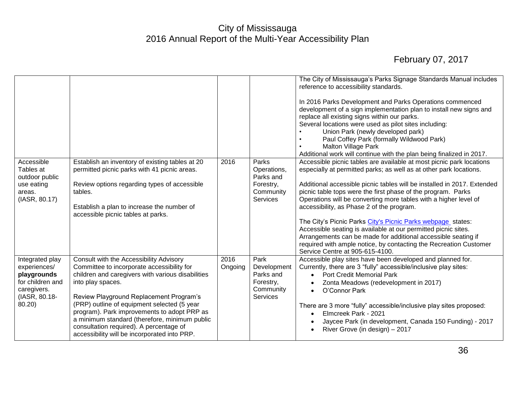|                                           |                                                                                                 |         |                                   | The City of Mississauga's Parks Signage Standards Manual includes<br>reference to accessibility standards.<br>In 2016 Parks Development and Parks Operations commenced<br>development of a sign implementation plan to install new signs and<br>replace all existing signs within our parks.<br>Several locations were used as pilot sites including:<br>Union Park (newly developed park)<br>Paul Coffey Park (formally Wildwood Park)<br><b>Malton Village Park</b><br>Additional work will continue with the plan being finalized in 2017. |
|-------------------------------------------|-------------------------------------------------------------------------------------------------|---------|-----------------------------------|-----------------------------------------------------------------------------------------------------------------------------------------------------------------------------------------------------------------------------------------------------------------------------------------------------------------------------------------------------------------------------------------------------------------------------------------------------------------------------------------------------------------------------------------------|
| Accessible<br>Tables at<br>outdoor public | Establish an inventory of existing tables at 20<br>permitted picnic parks with 41 picnic areas. | 2016    | Parks<br>Operations,<br>Parks and | Accessible picnic tables are available at most picnic park locations<br>especially at permitted parks; as well as at other park locations.                                                                                                                                                                                                                                                                                                                                                                                                    |
| use eating<br>areas.                      | Review options regarding types of accessible<br>tables.                                         |         | Forestry,<br>Community            | Additional accessible picnic tables will be installed in 2017. Extended<br>picnic table tops were the first phase of the program. Parks                                                                                                                                                                                                                                                                                                                                                                                                       |
| (IASR, 80.17)                             |                                                                                                 |         | Services                          | Operations will be converting more tables with a higher level of                                                                                                                                                                                                                                                                                                                                                                                                                                                                              |
|                                           | Establish a plan to increase the number of<br>accessible picnic tables at parks.                |         |                                   | accessibility, as Phase 2 of the program.                                                                                                                                                                                                                                                                                                                                                                                                                                                                                                     |
|                                           |                                                                                                 |         |                                   | The City's Picnic Parks City's Picnic Parks webpage states:<br>Accessible seating is available at our permitted picnic sites.                                                                                                                                                                                                                                                                                                                                                                                                                 |
|                                           |                                                                                                 |         |                                   | Arrangements can be made for additional accessible seating if                                                                                                                                                                                                                                                                                                                                                                                                                                                                                 |
|                                           |                                                                                                 |         |                                   | required with ample notice, by contacting the Recreation Customer<br>Service Centre at 905-615-4100.                                                                                                                                                                                                                                                                                                                                                                                                                                          |
| Integrated play                           | Consult with the Accessibility Advisory                                                         | 2016    | Park                              | Accessible play sites have been developed and planned for.                                                                                                                                                                                                                                                                                                                                                                                                                                                                                    |
| experiences/<br>playgrounds               | Committee to incorporate accessibility for<br>children and caregivers with various disabilities | Ongoing | Development<br>Parks and          | Currently, there are 3 "fully" accessible/inclusive play sites:<br>Port Credit Memorial Park                                                                                                                                                                                                                                                                                                                                                                                                                                                  |
| for children and                          | into play spaces.                                                                               |         | Forestry,                         | Zonta Meadows (redevelopment in 2017)                                                                                                                                                                                                                                                                                                                                                                                                                                                                                                         |
| caregivers.<br>(IASR, 80.18-              | Review Playground Replacement Program's                                                         |         | Community<br>Services             | O'Connor Park                                                                                                                                                                                                                                                                                                                                                                                                                                                                                                                                 |
| 80.20)                                    | (PRP) outline of equipment selected (5 year                                                     |         |                                   | There are 3 more "fully" accessible/inclusive play sites proposed:                                                                                                                                                                                                                                                                                                                                                                                                                                                                            |
|                                           | program). Park improvements to adopt PRP as<br>a minimum standard (therefore, minimum public    |         |                                   | Elmcreek Park - 2021                                                                                                                                                                                                                                                                                                                                                                                                                                                                                                                          |
|                                           | consultation required). A percentage of                                                         |         |                                   | Jaycee Park (in development, Canada 150 Funding) - 2017<br>River Grove (in design) - 2017                                                                                                                                                                                                                                                                                                                                                                                                                                                     |
|                                           | accessibility will be incorporated into PRP.                                                    |         |                                   |                                                                                                                                                                                                                                                                                                                                                                                                                                                                                                                                               |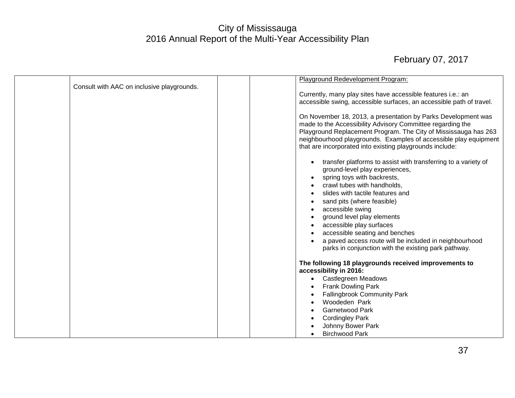| Consult with AAC on inclusive playgrounds. | Playground Redevelopment Program:                                                                                           |
|--------------------------------------------|-----------------------------------------------------------------------------------------------------------------------------|
|                                            | Currently, many play sites have accessible features i.e.: an                                                                |
|                                            | accessible swing, accessible surfaces, an accessible path of travel.                                                        |
|                                            |                                                                                                                             |
|                                            | On November 18, 2013, a presentation by Parks Development was<br>made to the Accessibility Advisory Committee regarding the |
|                                            | Playground Replacement Program. The City of Mississauga has 263                                                             |
|                                            | neighbourhood playgrounds. Examples of accessible play equipment                                                            |
|                                            | that are incorporated into existing playgrounds include:                                                                    |
|                                            | transfer platforms to assist with transferring to a variety of<br>$\bullet$                                                 |
|                                            | ground-level play experiences,                                                                                              |
|                                            | spring toys with backrests,<br>$\bullet$                                                                                    |
|                                            | crawl tubes with handholds,                                                                                                 |
|                                            | slides with tactile features and<br>$\bullet$                                                                               |
|                                            | sand pits (where feasible)<br>$\bullet$                                                                                     |
|                                            | accessible swing<br>$\bullet$                                                                                               |
|                                            | ground level play elements                                                                                                  |
|                                            | accessible play surfaces<br>accessible seating and benches                                                                  |
|                                            | a paved access route will be included in neighbourhood                                                                      |
|                                            | parks in conjunction with the existing park pathway.                                                                        |
|                                            | The following 18 playgrounds received improvements to                                                                       |
|                                            | accessibility in 2016:                                                                                                      |
|                                            | <b>Castlegreen Meadows</b><br>$\bullet$                                                                                     |
|                                            | <b>Frank Dowling Park</b>                                                                                                   |
|                                            | <b>Fallingbrook Community Park</b><br>$\bullet$                                                                             |
|                                            | Woodeden Park                                                                                                               |
|                                            | <b>Garnetwood Park</b>                                                                                                      |
|                                            | <b>Cordingley Park</b><br>Johnny Bower Park                                                                                 |
|                                            | <b>Birchwood Park</b>                                                                                                       |
|                                            |                                                                                                                             |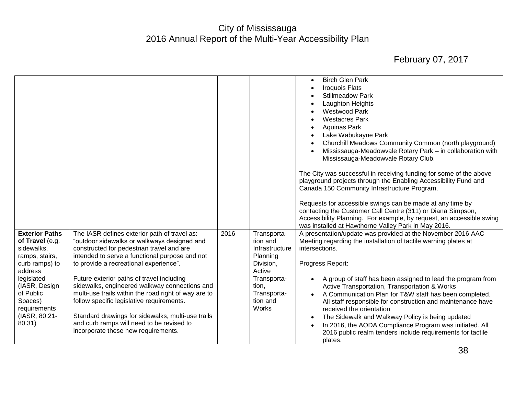|                                                                                                                                                                                                         |                                                                                                                                                                                                                                                                                                                                                                                                                                                                                                                                                                                  |      |                                                                                                                                                 | <b>Birch Glen Park</b><br>$\bullet$<br><b>Iroquois Flats</b><br><b>Stillmeadow Park</b><br>O<br>Laughton Heights<br><b>Westwood Park</b><br><b>Westacres Park</b><br>$\bullet$<br><b>Aquinas Park</b><br>Lake Wabukayne Park<br>Churchill Meadows Community Common (north playground)<br>Mississauga-Meadowvale Rotary Park - in collaboration with<br>$\bullet$<br>Mississauga-Meadowvale Rotary Club.<br>The City was successful in receiving funding for some of the above<br>playground projects through the Enabling Accessibility Fund and<br>Canada 150 Community Infrastructure Program.<br>Requests for accessible swings can be made at any time by<br>contacting the Customer Call Centre (311) or Diana Simpson,<br>Accessibility Planning. For example, by request, an accessible swing |
|---------------------------------------------------------------------------------------------------------------------------------------------------------------------------------------------------------|----------------------------------------------------------------------------------------------------------------------------------------------------------------------------------------------------------------------------------------------------------------------------------------------------------------------------------------------------------------------------------------------------------------------------------------------------------------------------------------------------------------------------------------------------------------------------------|------|-------------------------------------------------------------------------------------------------------------------------------------------------|------------------------------------------------------------------------------------------------------------------------------------------------------------------------------------------------------------------------------------------------------------------------------------------------------------------------------------------------------------------------------------------------------------------------------------------------------------------------------------------------------------------------------------------------------------------------------------------------------------------------------------------------------------------------------------------------------------------------------------------------------------------------------------------------------|
| <b>Exterior Paths</b><br>of Travel (e.g.<br>sidewalks,<br>ramps, stairs,<br>curb ramps) to<br>address<br>legislated<br>(IASR, Design<br>of Public<br>Spaces)<br>requirements<br>(IASR, 80.21-<br>80.31) | The IASR defines exterior path of travel as:<br>"outdoor sidewalks or walkways designed and<br>constructed for pedestrian travel and are<br>intended to serve a functional purpose and not<br>to provide a recreational experience".<br>Future exterior paths of travel including<br>sidewalks, engineered walkway connections and<br>multi-use trails within the road right of way are to<br>follow specific legislative requirements.<br>Standard drawings for sidewalks, multi-use trails<br>and curb ramps will need to be revised to<br>incorporate these new requirements. | 2016 | Transporta-<br>tion and<br>Infrastructure<br>Planning<br>Division,<br>Active<br>Transporta-<br>tion,<br>Transporta-<br>tion and<br><b>Works</b> | was installed at Hawthorne Valley Park in May 2016.<br>A presentation/update was provided at the November 2016 AAC<br>Meeting regarding the installation of tactile warning plates at<br>intersections.<br>Progress Report:<br>A group of staff has been assigned to lead the program from<br>Active Transportation, Transportation & Works<br>A Communication Plan for T&W staff has been completed.<br>All staff responsible for construction and maintenance have<br>received the orientation<br>The Sidewalk and Walkway Policy is being updated<br>$\bullet$<br>In 2016, the AODA Compliance Program was initiated. All<br>$\bullet$<br>2016 public realm tenders include requirements for tactile<br>plates.                                                                                   |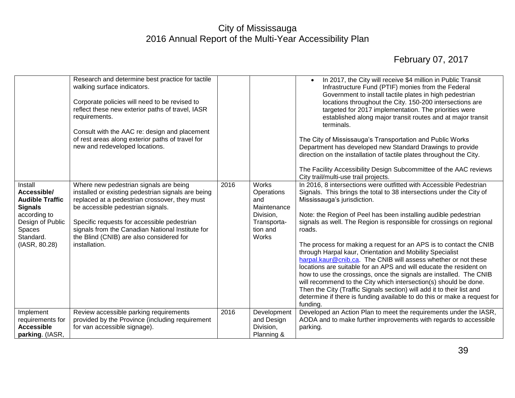|                                                                                                                                                | Research and determine best practice for tactile<br>walking surface indicators.<br>Corporate policies will need to be revised to<br>reflect these new exterior paths of travel, IASR<br>requirements.<br>Consult with the AAC re: design and placement<br>of rest areas along exterior paths of travel for<br>new and redeveloped locations.       |      |                                                                                                          | In 2017, the City will receive \$4 million in Public Transit<br>Infrastructure Fund (PTIF) monies from the Federal<br>Government to install tactile plates in high pedestrian<br>locations throughout the City. 150-200 intersections are<br>targeted for 2017 implementation. The priorities were<br>established along major transit routes and at major transit<br>terminals.<br>The City of Mississauga's Transportation and Public Works<br>Department has developed new Standard Drawings to provide<br>direction on the installation of tactile plates throughout the City.<br>The Facility Accessibility Design Subcommittee of the AAC reviews<br>City trail/multi-use trail projects.                                                                                                                                                                                                                      |
|------------------------------------------------------------------------------------------------------------------------------------------------|----------------------------------------------------------------------------------------------------------------------------------------------------------------------------------------------------------------------------------------------------------------------------------------------------------------------------------------------------|------|----------------------------------------------------------------------------------------------------------|---------------------------------------------------------------------------------------------------------------------------------------------------------------------------------------------------------------------------------------------------------------------------------------------------------------------------------------------------------------------------------------------------------------------------------------------------------------------------------------------------------------------------------------------------------------------------------------------------------------------------------------------------------------------------------------------------------------------------------------------------------------------------------------------------------------------------------------------------------------------------------------------------------------------|
| Install<br>Accessible/<br><b>Audible Traffic</b><br><b>Signals</b><br>according to<br>Design of Public<br>Spaces<br>Standard.<br>(IASR, 80.28) | Where new pedestrian signals are being<br>installed or existing pedestrian signals are being<br>replaced at a pedestrian crossover, they must<br>be accessible pedestrian signals.<br>Specific requests for accessible pedestrian<br>signals from the Canadian National Institute for<br>the Blind (CNIB) are also considered for<br>installation. | 2016 | <b>Works</b><br>Operations<br>and<br>Maintenance<br>Division,<br>Transporta-<br>tion and<br><b>Works</b> | In 2016, 8 intersections were outfitted with Accessible Pedestrian<br>Signals. This brings the total to 38 intersections under the City of<br>Mississauga's jurisdiction.<br>Note: the Region of Peel has been installing audible pedestrian<br>signals as well. The Region is responsible for crossings on regional<br>roads.<br>The process for making a request for an APS is to contact the CNIB<br>through Harpal kaur, Orientation and Mobility Specialist<br>harpal.kaur@cnib.ca. The CNIB will assess whether or not these<br>locations are suitable for an APS and will educate the resident on<br>how to use the crossings, once the signals are installed. The CNIB<br>will recommend to the City which intersection(s) should be done.<br>Then the City (Traffic Signals section) will add it to their list and<br>determine if there is funding available to do this or make a request for<br>funding. |
| Implement<br>requirements for<br><b>Accessible</b><br>parking. (IASR,                                                                          | Review accessible parking requirements<br>provided by the Province (including requirement<br>for van accessible signage).                                                                                                                                                                                                                          | 2016 | Development<br>and Design<br>Division,<br>Planning &                                                     | Developed an Action Plan to meet the requirements under the IASR,<br>AODA and to make further improvements with regards to accessible<br>parking.                                                                                                                                                                                                                                                                                                                                                                                                                                                                                                                                                                                                                                                                                                                                                                   |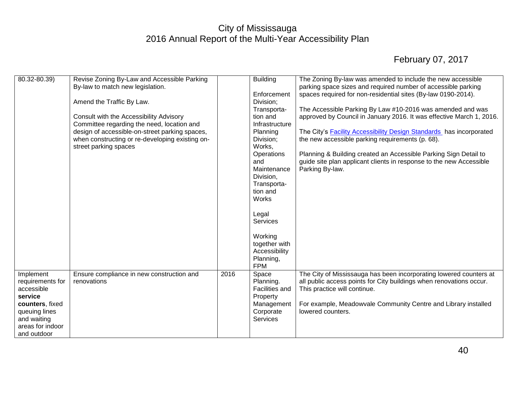| 80.32-80.39)     | Revise Zoning By-Law and Accessible Parking     |      | <b>Building</b> | The Zoning By-law was amended to include the new accessible                |
|------------------|-------------------------------------------------|------|-----------------|----------------------------------------------------------------------------|
|                  | By-law to match new legislation.                |      |                 | parking space sizes and required number of accessible parking              |
|                  |                                                 |      | Enforcement     | spaces required for non-residential sites (By-law 0190-2014).              |
|                  | Amend the Traffic By Law.                       |      | Division;       |                                                                            |
|                  |                                                 |      | Transporta-     | The Accessible Parking By Law #10-2016 was amended and was                 |
|                  | Consult with the Accessibility Advisory         |      | tion and        | approved by Council in January 2016. It was effective March 1, 2016.       |
|                  | Committee regarding the need, location and      |      | Infrastructure  |                                                                            |
|                  | design of accessible-on-street parking spaces,  |      | Planning        | The City's <b>Facility Accessibility Design Standards</b> has incorporated |
|                  |                                                 |      |                 |                                                                            |
|                  | when constructing or re-developing existing on- |      | Division;       | the new accessible parking requirements (p. 68).                           |
|                  | street parking spaces                           |      | Works,          |                                                                            |
|                  |                                                 |      | Operations      | Planning & Building created an Accessible Parking Sign Detail to           |
|                  |                                                 |      | and             | guide site plan applicant clients in response to the new Accessible        |
|                  |                                                 |      | Maintenance     | Parking By-law.                                                            |
|                  |                                                 |      | Division,       |                                                                            |
|                  |                                                 |      | Transporta-     |                                                                            |
|                  |                                                 |      | tion and        |                                                                            |
|                  |                                                 |      | Works           |                                                                            |
|                  |                                                 |      |                 |                                                                            |
|                  |                                                 |      | Legal           |                                                                            |
|                  |                                                 |      | <b>Services</b> |                                                                            |
|                  |                                                 |      |                 |                                                                            |
|                  |                                                 |      |                 |                                                                            |
|                  |                                                 |      | Working         |                                                                            |
|                  |                                                 |      | together with   |                                                                            |
|                  |                                                 |      | Accessibility   |                                                                            |
|                  |                                                 |      | Planning,       |                                                                            |
|                  |                                                 |      | <b>FPM</b>      |                                                                            |
| Implement        | Ensure compliance in new construction and       | 2016 | Space           | The City of Mississauga has been incorporating lowered counters at         |
| requirements for | renovations                                     |      | Planning.       | all public access points for City buildings when renovations occur.        |
| accessible       |                                                 |      | Facilities and  | This practice will continue.                                               |
| service          |                                                 |      | Property        |                                                                            |
| counters, fixed  |                                                 |      | Management      | For example, Meadowvale Community Centre and Library installed             |
| queuing lines    |                                                 |      | Corporate       | lowered counters.                                                          |
|                  |                                                 |      | Services        |                                                                            |
| and waiting      |                                                 |      |                 |                                                                            |
| areas for indoor |                                                 |      |                 |                                                                            |
| and outdoor      |                                                 |      |                 |                                                                            |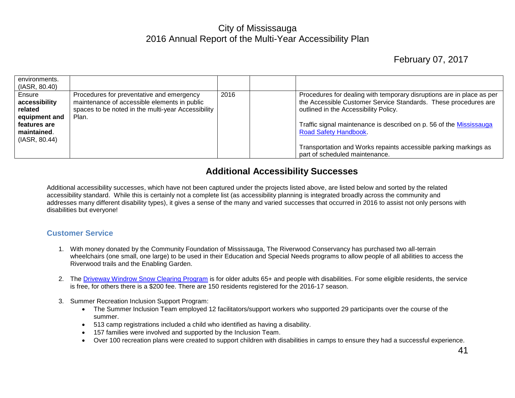#### February 07, 2017

| environments.<br>(IASR, 80.40)                                                                          |                                                                                                                                                          |      |                                                                                                                                                                                                                                                                                                                                                              |
|---------------------------------------------------------------------------------------------------------|----------------------------------------------------------------------------------------------------------------------------------------------------------|------|--------------------------------------------------------------------------------------------------------------------------------------------------------------------------------------------------------------------------------------------------------------------------------------------------------------------------------------------------------------|
| Ensure<br>accessibility<br>related<br>equipment and<br>features are<br>maintained.<br>$ $ (IASR, 80.44) | Procedures for preventative and emergency<br>maintenance of accessible elements in public<br>spaces to be noted in the multi-year Accessibility<br>Plan. | 2016 | Procedures for dealing with temporary disruptions are in place as per<br>the Accessible Customer Service Standards. These procedures are<br>outlined in the Accessibility Policy.<br>Traffic signal maintenance is described on p. 56 of the Mississauga<br><b>Road Safety Handbook.</b><br>Transportation and Works repaints accessible parking markings as |
|                                                                                                         |                                                                                                                                                          |      | part of scheduled maintenance.                                                                                                                                                                                                                                                                                                                               |

#### **Additional Accessibility Successes**

<span id="page-41-0"></span>Additional accessibility successes, which have not been captured under the projects listed above, are listed below and sorted by the related accessibility standard. While this is certainly not a complete list (as accessibility planning is integrated broadly across the community and addresses many different disability types), it gives a sense of the many and varied successes that occurred in 2016 to assist not only persons with disabilities but everyone!

#### <span id="page-41-1"></span>**Customer Service**

- 1. With money donated by the Community Foundation of Mississauga, The Riverwood Conservancy has purchased two all-terrain wheelchairs (one small, one large) to be used in their Education and Special Needs programs to allow people of all abilities to access the Riverwood trails and the Enabling Garden.
- 2. The [Driveway Windrow Snow Clearing Program](http://www.mississauga.ca/portal/residents/drivewaywindrowprogram) is for older adults 65+ and people with disabilities. For some eligible residents, the service is free, for others there is a \$200 fee. There are 150 residents registered for the 2016-17 season.
- 3. Summer Recreation Inclusion Support Program:
	- The Summer Inclusion Team employed 12 facilitators/support workers who supported 29 participants over the course of the summer.
	- 513 camp registrations included a child who identified as having a disability.
	- 157 families were involved and supported by the Inclusion Team.
	- Over 100 recreation plans were created to support children with disabilities in camps to ensure they had a successful experience.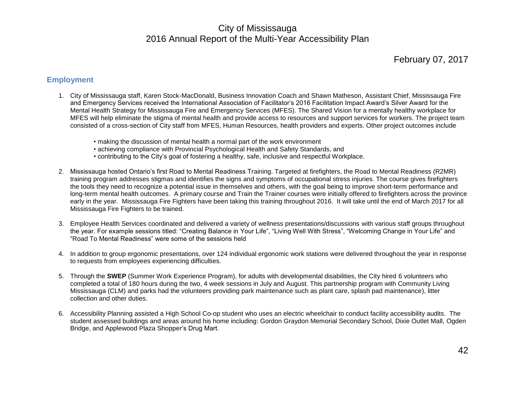#### February 07, 2017

#### <span id="page-42-0"></span>**Employment**

- 1. City of Mississauga staff, Karen Stock-MacDonald, Business Innovation Coach and Shawn Matheson, Assistant Chief, Mississauga Fire and Emergency Services received the International Association of Facilitator's 2016 Facilitation Impact Award's Silver Award for the Mental Health Strategy for Mississauga Fire and Emergency Services (MFES). The Shared Vision for a mentally healthy workplace for MFES will help eliminate the stigma of mental health and provide access to resources and support services for workers. The project team consisted of a cross-section of City staff from MFES, Human Resources, health providers and experts. Other project outcomes include
	- making the discussion of mental health a normal part of the work environment
	- achieving compliance with Provincial Psychological Health and Safety Standards, and
	- contributing to the City's goal of fostering a healthy, safe, inclusive and respectful Workplace.
- 2. Mississauga hosted Ontario's first Road to Mental Readiness Training. Targeted at firefighters, the Road to Mental Readiness (R2MR) training program addresses stigmas and identifies the signs and symptoms of occupational stress injuries. The course gives firefighters the tools they need to recognize a potential issue in themselves and others, with the goal being to improve short-term performance and long-term mental health outcomes. A primary course and Train the Trainer courses were initially offered to firefighters across the province early in the year. Mississauga Fire Fighters have been taking this training throughout 2016. It will take until the end of March 2017 for all Mississauga Fire Fighters to be trained.
- 3. Employee Health Services coordinated and delivered a variety of wellness presentations/discussions with various staff groups throughout the year. For example sessions titled: "Creating Balance in Your Life", "Living Well With Stress", "Welcoming Change in Your Life" and "Road To Mental Readiness" were some of the sessions held
- 4. In addition to group ergonomic presentations, over 124 individual ergonomic work stations were delivered throughout the year in response to requests from employees experiencing difficulties.
- 5. Through the **SWEP** (Summer Work Experience Program), for adults with developmental disabilities, the City hired 6 volunteers who completed a total of 180 hours during the two, 4 week sessions in July and August. This partnership program with Community Living Mississauga (CLM) and parks had the volunteers providing park maintenance such as plant care, splash pad maintenance), litter collection and other duties.
- 6. Accessibility Planning assisted a High School Co-op student who uses an electric wheelchair to conduct facility accessibility audits. The student assessed buildings and areas around his home including: Gordon Graydon Memorial Secondary School, Dixie Outlet Mall, Ogden Bridge, and Applewood Plaza Shopper's Drug Mart.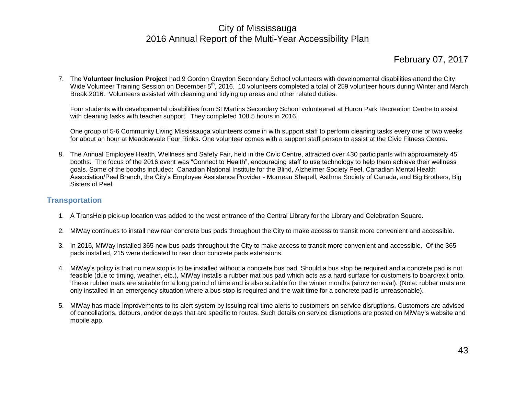#### February 07, 2017

7. The **Volunteer Inclusion Project** had 9 Gordon Graydon Secondary School volunteers with developmental disabilities attend the City Wide Volunteer Training Session on December 5<sup>th</sup>, 2016. 10 volunteers completed a total of 259 volunteer hours during Winter and March Break 2016. Volunteers assisted with cleaning and tidying up areas and other related duties.

Four students with developmental disabilities from St Martins Secondary School volunteered at Huron Park Recreation Centre to assist with cleaning tasks with teacher support. They completed 108.5 hours in 2016.

One group of 5-6 Community Living Mississauga volunteers come in with support staff to perform cleaning tasks every one or two weeks for about an hour at Meadowvale Four Rinks. One volunteer comes with a support staff person to assist at the Civic Fitness Centre.

8. The Annual Employee Health, Wellness and Safety Fair, held in the Civic Centre, attracted over 430 participants with approximately 45 booths. The focus of the 2016 event was "Connect to Health", encouraging staff to use technology to help them achieve their wellness goals. Some of the booths included: Canadian National Institute for the Blind, Alzheimer Society Peel, Canadian Mental Health Association/Peel Branch, the City's Employee Assistance Provider - Morneau Shepell, Asthma Society of Canada, and Big Brothers, Big Sisters of Peel.

#### <span id="page-43-0"></span>**Transportation**

- 1. A TransHelp pick-up location was added to the west entrance of the Central Library for the Library and Celebration Square.
- 2. MiWay continues to install new rear concrete bus pads throughout the City to make access to transit more convenient and accessible.
- 3. In 2016, MiWay installed 365 new bus pads throughout the City to make access to transit more convenient and accessible. Of the 365 pads installed, 215 were dedicated to rear door concrete pads extensions.
- 4. MiWay's policy is that no new stop is to be installed without a concrete bus pad. Should a bus stop be required and a concrete pad is not feasible (due to timing, weather, etc.), MiWay installs a rubber mat bus pad which acts as a hard surface for customers to board/exit onto. These rubber mats are suitable for a long period of time and is also suitable for the winter months (snow removal). (Note: rubber mats are only installed in an emergency situation where a bus stop is required and the wait time for a concrete pad is unreasonable).
- 5. MiWay has made improvements to its alert system by issuing real time alerts to customers on service disruptions. Customers are advised of cancellations, detours, and/or delays that are specific to routes. Such details on service disruptions are posted on MiWay's website and mobile app.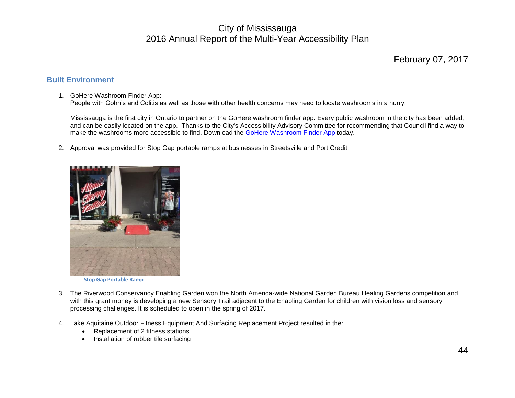#### February 07, 2017

#### <span id="page-44-0"></span>**Built Environment**

#### 1. GoHere Washroom Finder App:

People with Cohn's and Colitis as well as those with other health concerns may need to locate washrooms in a hurry.

Mississauga is the first city in Ontario to partner on the GoHere washroom finder app. Every public washroom in the city has been added, and can be easily located on the app. Thanks to the City's Accessibility Advisory Committee for recommending that Council find a way to make the washrooms more accessible to find. Download the [GoHere Washroom Finder App](http://r20.rs6.net/tn.jsp?f=001eCg7eMQ7IuoK1pHAWs020B9BPEZxdpURoljE_YXuOAWOUde0qjXAB4ejqie4qX3haw5gu6SjTU_9cwefV5ATFuefqkX6oMiUTAkgeoUk_0qs8ZmAIGnhXcex0bcOXSGCes0D_wWJGBOAxZsY3yVUl4qgD7sXCQCaDtJjSNk77TlcpSxVoeNomHrJCn3xqNWmuAc7svREAzSkdZqeGuoH9KC8or10NjzngsFu7h5sLwqTkW8Np1oVvkNu3_cXqNEv&c=4KUTpR1Vle3Plf6iEBBNjwOFDDiUrf5pxXfZD1nUXGl-986aVeYY6A==&ch=O3WAW3gTpb0IK0poAL99R19gjB_Dqof8lsdKoKma34qGpWL9CxqdUw==) today.

2. Approval was provided for Stop Gap portable ramps at businesses in Streetsville and Port Credit.



 **Stop Gap Portable Ramp**

- 3. The Riverwood Conservancy Enabling Garden won the North America-wide National Garden Bureau Healing Gardens competition and with this grant money is developing a new Sensory Trail adjacent to the Enabling Garden for children with vision loss and sensory processing challenges. It is scheduled to open in the spring of 2017.
- 4. Lake Aquitaine Outdoor Fitness Equipment And Surfacing Replacement Project resulted in the:
	- Replacement of 2 fitness stations
	- Installation of rubber tile surfacing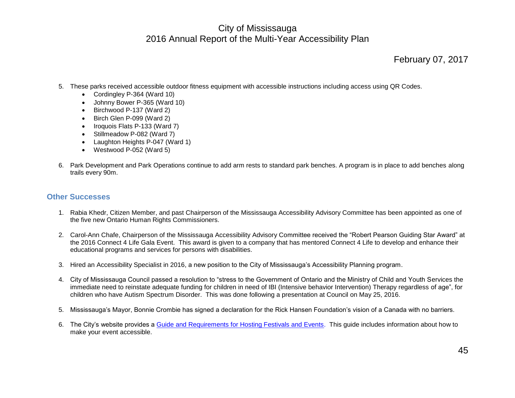#### February 07, 2017

- 5. These parks received accessible outdoor fitness equipment with accessible instructions including access using QR Codes.
	- Cordingley P-364 (Ward 10)
	- Johnny Bower P-365 (Ward 10)
	- $\bullet$  Birchwood P-137 (Ward 2)
	- Birch Glen P-099 (Ward 2)
	- Iroquois Flats P-133 (Ward 7)
	- Stillmeadow P-082 (Ward 7)
	- Laughton Heights P-047 (Ward 1)
	- Westwood P-052 (Ward 5)
- 6. Park Development and Park Operations continue to add arm rests to standard park benches. A program is in place to add benches along trails every 90m.

#### <span id="page-45-0"></span>**Other Successes**

- 1. Rabia Khedr, Citizen Member, and past Chairperson of the Mississauga Accessibility Advisory Committee has been appointed as one of the five new Ontario Human Rights Commissioners.
- 2. Carol-Ann Chafe, Chairperson of the Mississauga Accessibility Advisory Committee received the "Robert Pearson Guiding Star Award" at the 2016 Connect 4 Life Gala Event. This award is given to a company that has mentored Connect 4 Life to develop and enhance their educational programs and services for persons with disabilities.
- 3. Hired an Accessibility Specialist in 2016, a new position to the City of Mississauga's Accessibility Planning program.
- 4. City of Mississauga Council passed a resolution to "stress to the Government of Ontario and the Ministry of Child and Youth Services the immediate need to reinstate adequate funding for children in need of IBI (Intensive behavior Intervention) Therapy regardless of age", for children who have Autism Spectrum Disorder. This was done following a presentation at Council on May 25, 2016.
- 5. Mississauga's Mayor, Bonnie Crombie has signed a declaration for the Rick Hansen Foundation's vision of a Canada with no barriers.
- 6. The City's website provides a [Guide and Requirements for Hosting Festivals and Events.](http://www7.mississauga.ca/Departments/Rec/community-groups/docs/Special-Event-Requirements.pdf) This guide includes information about how to make your event accessible.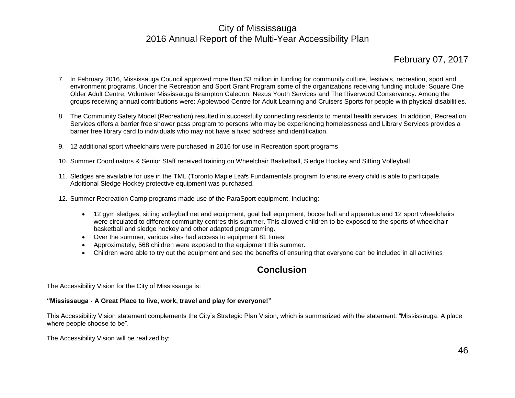#### February 07, 2017

- 7. In February 2016, Mississauga Council approved more than \$3 million in funding for community culture, festivals, recreation, sport and environment programs. Under the Recreation and Sport Grant Program some of the organizations receiving funding include: Square One Older Adult Centre; Volunteer Mississauga Brampton Caledon, Nexus Youth Services and The Riverwood Conservancy. Among the groups receiving annual contributions were: Applewood Centre for Adult Learning and Cruisers Sports for people with physical disabilities.
- 8. The Community Safety Model (Recreation) resulted in successfully connecting residents to mental health services. In addition, Recreation Services offers a barrier free shower pass program to persons who may be experiencing homelessness and Library Services provides a barrier free library card to individuals who may not have a fixed address and identification.
- 9. 12 additional sport wheelchairs were purchased in 2016 for use in Recreation sport programs
- 10. Summer Coordinators & Senior Staff received training on Wheelchair Basketball, Sledge Hockey and Sitting Volleyball
- 11. Sledges are available for use in the TML (Toronto Maple Leafs Fundamentals program to ensure every child is able to participate. Additional Sledge Hockey protective equipment was purchased.
- 12. Summer Recreation Camp programs made use of the ParaSport equipment, including:
	- 12 gym sledges, sitting volleyball net and equipment, goal ball equipment, bocce ball and apparatus and 12 sport wheelchairs were circulated to different community centres this summer. This allowed children to be exposed to the sports of wheelchair basketball and sledge hockey and other adapted programming.
	- Over the summer, various sites had access to equipment 81 times.
	- Approximately, 568 children were exposed to the equipment this summer.
	- Children were able to try out the equipment and see the benefits of ensuring that everyone can be included in all activities

#### **Conclusion**

<span id="page-46-0"></span>The Accessibility Vision for the City of Mississauga is:

#### **"Mississauga - A Great Place to live, work, travel and play for everyone!"**

This Accessibility Vision statement complements the City's Strategic Plan Vision, which is summarized with the statement: "Mississauga: A place where people choose to be".

The Accessibility Vision will be realized by: